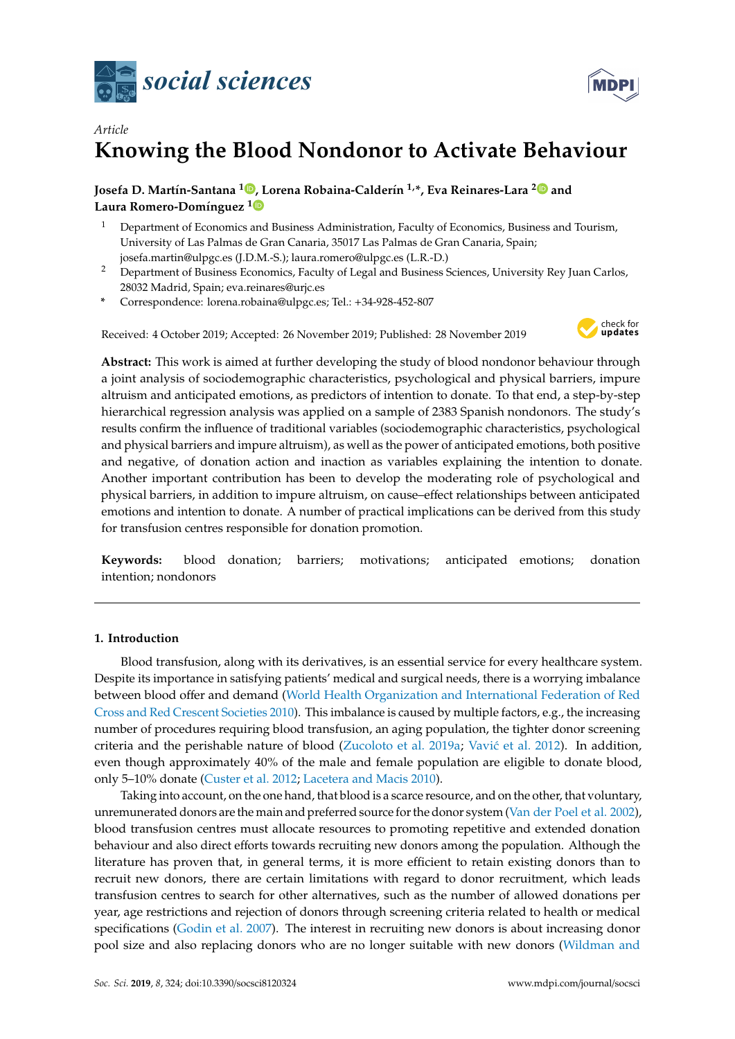



# *Article* **Knowing the Blood Nondonor to Activate Behaviour**

# **Josefa D. Martín-Santana <sup>1</sup> [,](https://orcid.org/0000-0002-7078-0271) Lorena Robaina-Calderín 1,\*, Eva Reinares-Lara [2](https://orcid.org/0000-0002-5320-9268) and Laura Romero-Domínguez [1](https://orcid.org/0000-0002-4981-4529)**

- <sup>1</sup> Department of Economics and Business Administration, Faculty of Economics, Business and Tourism, University of Las Palmas de Gran Canaria, 35017 Las Palmas de Gran Canaria, Spain; josefa.martin@ulpgc.es (J.D.M.-S.); laura.romero@ulpgc.es (L.R.-D.)
- <sup>2</sup> Department of Business Economics, Faculty of Legal and Business Sciences, University Rey Juan Carlos, 28032 Madrid, Spain; eva.reinares@urjc.es
- **\*** Correspondence: lorena.robaina@ulpgc.es; Tel.: +34-928-452-807

Received: 4 October 2019; Accepted: 26 November 2019; Published: 28 November 2019



**Abstract:** This work is aimed at further developing the study of blood nondonor behaviour through a joint analysis of sociodemographic characteristics, psychological and physical barriers, impure altruism and anticipated emotions, as predictors of intention to donate. To that end, a step-by-step hierarchical regression analysis was applied on a sample of 2383 Spanish nondonors. The study's results confirm the influence of traditional variables (sociodemographic characteristics, psychological and physical barriers and impure altruism), as well as the power of anticipated emotions, both positive and negative, of donation action and inaction as variables explaining the intention to donate. Another important contribution has been to develop the moderating role of psychological and physical barriers, in addition to impure altruism, on cause–effect relationships between anticipated emotions and intention to donate. A number of practical implications can be derived from this study for transfusion centres responsible for donation promotion.

**Keywords:** blood donation; barriers; motivations; anticipated emotions; donation intention; nondonors

## **1. Introduction**

Blood transfusion, along with its derivatives, is an essential service for every healthcare system. Despite its importance in satisfying patients' medical and surgical needs, there is a worrying imbalance between blood offer and demand [\(World Health Organization and International Federation of Red](#page-20-0) [Cross and Red Crescent Societies](#page-20-0) [2010\)](#page-20-0). This imbalance is caused by multiple factors, e.g., the increasing number of procedures requiring blood transfusion, an aging population, the tighter donor screening criteria and the perishable nature of blood [\(Zucoloto et al.](#page-21-0) [2019a;](#page-21-0) Vavić et al. [2012\)](#page-20-1). In addition, even though approximately 40% of the male and female population are eligible to donate blood, only 5–10% donate [\(Custer et al.](#page-17-0) [2012;](#page-17-0) [Lacetera and Macis](#page-18-0) [2010\)](#page-18-0).

Taking into account, on the one hand, that blood is a scarce resource, and on the other, that voluntary, unremunerated donors are the main and preferred source for the donor system [\(Van der Poel et al.](#page-20-2) [2002\)](#page-20-2), blood transfusion centres must allocate resources to promoting repetitive and extended donation behaviour and also direct efforts towards recruiting new donors among the population. Although the literature has proven that, in general terms, it is more efficient to retain existing donors than to recruit new donors, there are certain limitations with regard to donor recruitment, which leads transfusion centres to search for other alternatives, such as the number of allowed donations per year, age restrictions and rejection of donors through screening criteria related to health or medical specifications [\(Godin et al.](#page-18-1) [2007\)](#page-18-1). The interest in recruiting new donors is about increasing donor pool size and also replacing donors who are no longer suitable with new donors [\(Wildman and](#page-20-3)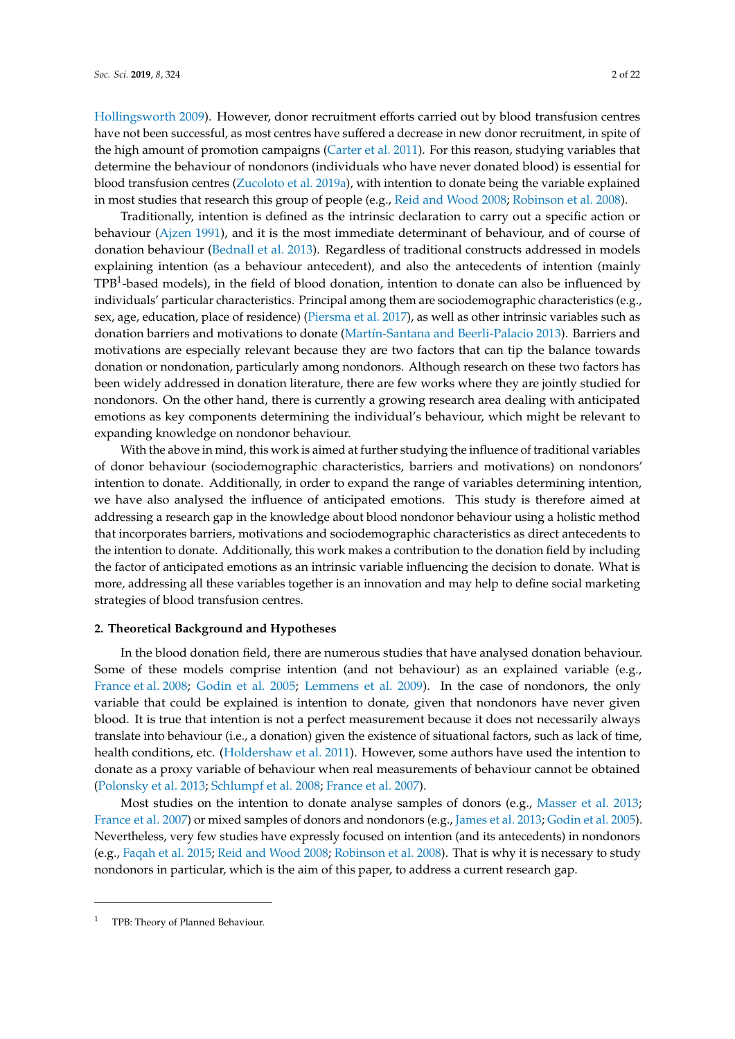[Hollingsworth](#page-20-3) [2009\)](#page-20-3). However, donor recruitment efforts carried out by blood transfusion centres have not been successful, as most centres have suffered a decrease in new donor recruitment, in spite of the high amount of promotion campaigns [\(Carter et al.](#page-17-1) [2011\)](#page-17-1). For this reason, studying variables that determine the behaviour of nondonors (individuals who have never donated blood) is essential for blood transfusion centres [\(Zucoloto et al.](#page-21-0) [2019a\)](#page-21-0), with intention to donate being the variable explained in most studies that research this group of people (e.g., [Reid and Wood](#page-19-0) [2008;](#page-19-0) [Robinson et al.](#page-20-4) [2008\)](#page-20-4).

Traditionally, intention is defined as the intrinsic declaration to carry out a specific action or behaviour [\(Ajzen](#page-16-0) [1991\)](#page-16-0), and it is the most immediate determinant of behaviour, and of course of donation behaviour [\(Bednall et al.](#page-16-1) [2013\)](#page-16-1). Regardless of traditional constructs addressed in models explaining intention (as a behaviour antecedent), and also the antecedents of intention (mainly TPB<sup>1</sup> -based models), in the field of blood donation, intention to donate can also be influenced by individuals' particular characteristics. Principal among them are sociodemographic characteristics (e.g., sex, age, education, place of residence) [\(Piersma et al.](#page-19-1) [2017\)](#page-19-1), as well as other intrinsic variables such as donation barriers and motivations to donate (Martí[n-Santana and Beerli-Palacio](#page-19-2) [2013\)](#page-19-2). Barriers and motivations are especially relevant because they are two factors that can tip the balance towards donation or nondonation, particularly among nondonors. Although research on these two factors has been widely addressed in donation literature, there are few works where they are jointly studied for nondonors. On the other hand, there is currently a growing research area dealing with anticipated emotions as key components determining the individual's behaviour, which might be relevant to expanding knowledge on nondonor behaviour.

With the above in mind, this work is aimed at further studying the influence of traditional variables of donor behaviour (sociodemographic characteristics, barriers and motivations) on nondonors' intention to donate. Additionally, in order to expand the range of variables determining intention, we have also analysed the influence of anticipated emotions. This study is therefore aimed at addressing a research gap in the knowledge about blood nondonor behaviour using a holistic method that incorporates barriers, motivations and sociodemographic characteristics as direct antecedents to the intention to donate. Additionally, this work makes a contribution to the donation field by including the factor of anticipated emotions as an intrinsic variable influencing the decision to donate. What is more, addressing all these variables together is an innovation and may help to define social marketing strategies of blood transfusion centres.

### **2. Theoretical Background and Hypotheses**

In the blood donation field, there are numerous studies that have analysed donation behaviour. Some of these models comprise intention (and not behaviour) as an explained variable (e.g., [France et al.](#page-18-2) [2008;](#page-18-2) [Godin et al.](#page-18-3) [2005;](#page-18-3) [Lemmens et al.](#page-19-3) [2009\)](#page-19-3). In the case of nondonors, the only variable that could be explained is intention to donate, given that nondonors have never given blood. It is true that intention is not a perfect measurement because it does not necessarily always translate into behaviour (i.e., a donation) given the existence of situational factors, such as lack of time, health conditions, etc. [\(Holdershaw et al.](#page-18-4) [2011\)](#page-18-4). However, some authors have used the intention to donate as a proxy variable of behaviour when real measurements of behaviour cannot be obtained [\(Polonsky et al.](#page-19-4) [2013;](#page-19-4) [Schlumpf et al.](#page-20-5) [2008;](#page-20-5) [France et al.](#page-17-2) [2007\)](#page-17-2).

Most studies on the intention to donate analyse samples of donors (e.g., [Masser et al.](#page-19-5) [2013;](#page-19-5) [France et al.](#page-17-2) [2007\)](#page-17-2) or mixed samples of donors and nondonors (e.g., [James et al.](#page-18-5) [2013;](#page-18-5) [Godin et al.](#page-18-3) [2005\)](#page-18-3). Nevertheless, very few studies have expressly focused on intention (and its antecedents) in nondonors (e.g., [Faqah et al.](#page-17-3) [2015;](#page-17-3) [Reid and Wood](#page-19-0) [2008;](#page-19-0) [Robinson et al.](#page-20-4) [2008\)](#page-20-4). That is why it is necessary to study nondonors in particular, which is the aim of this paper, to address a current research gap.

<sup>1</sup> TPB: Theory of Planned Behaviour.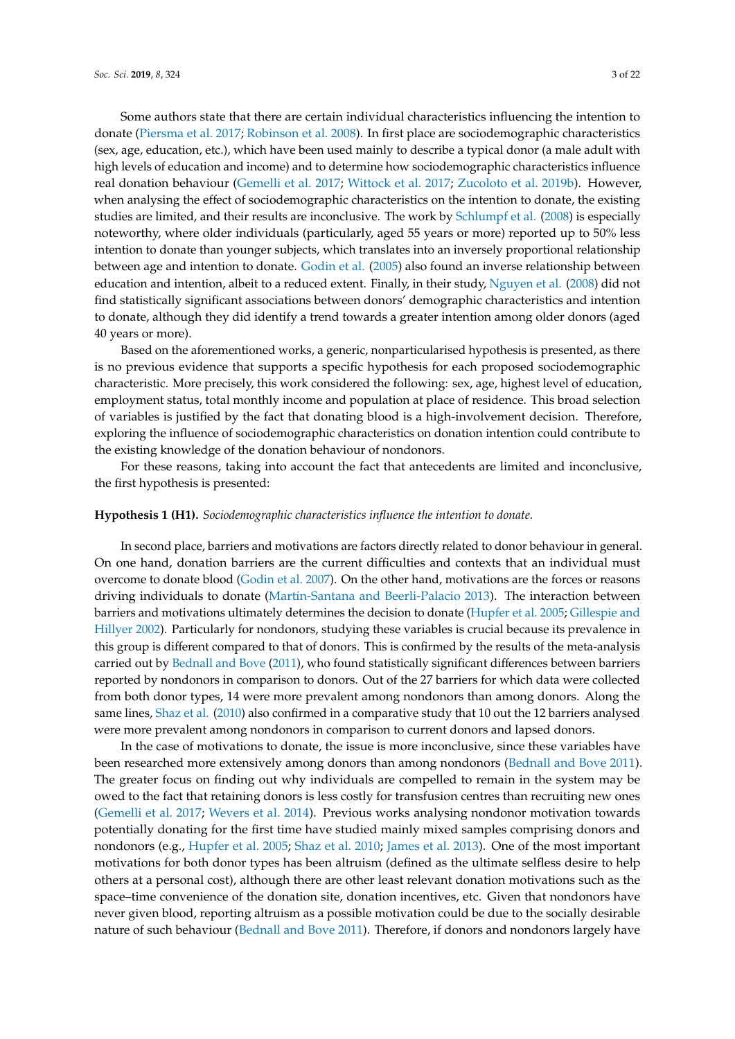Some authors state that there are certain individual characteristics influencing the intention to donate [\(Piersma et al.](#page-19-1) [2017;](#page-19-1) [Robinson et al.](#page-20-4) [2008\)](#page-20-4). In first place are sociodemographic characteristics (sex, age, education, etc.), which have been used mainly to describe a typical donor (a male adult with high levels of education and income) and to determine how sociodemographic characteristics influence real donation behaviour [\(Gemelli et al.](#page-18-6) [2017;](#page-18-6) [Wittock et al.](#page-20-6) [2017;](#page-20-6) [Zucoloto et al.](#page-21-1) [2019b\)](#page-21-1). However, when analysing the effect of sociodemographic characteristics on the intention to donate, the existing studies are limited, and their results are inconclusive. The work by [Schlumpf et al.](#page-20-5) [\(2008\)](#page-20-5) is especially noteworthy, where older individuals (particularly, aged 55 years or more) reported up to 50% less intention to donate than younger subjects, which translates into an inversely proportional relationship between age and intention to donate. [Godin et al.](#page-18-3) [\(2005\)](#page-18-3) also found an inverse relationship between education and intention, albeit to a reduced extent. Finally, in their study, [Nguyen et al.](#page-19-6) [\(2008\)](#page-19-6) did not find statistically significant associations between donors' demographic characteristics and intention to donate, although they did identify a trend towards a greater intention among older donors (aged 40 years or more).

Based on the aforementioned works, a generic, nonparticularised hypothesis is presented, as there is no previous evidence that supports a specific hypothesis for each proposed sociodemographic characteristic. More precisely, this work considered the following: sex, age, highest level of education, employment status, total monthly income and population at place of residence. This broad selection of variables is justified by the fact that donating blood is a high-involvement decision. Therefore, exploring the influence of sociodemographic characteristics on donation intention could contribute to the existing knowledge of the donation behaviour of nondonors.

For these reasons, taking into account the fact that antecedents are limited and inconclusive, the first hypothesis is presented:

#### **Hypothesis 1 (H1).** *Sociodemographic characteristics influence the intention to donate.*

In second place, barriers and motivations are factors directly related to donor behaviour in general. On one hand, donation barriers are the current difficulties and contexts that an individual must overcome to donate blood [\(Godin et al.](#page-18-1) [2007\)](#page-18-1). On the other hand, motivations are the forces or reasons driving individuals to donate (Martí[n-Santana and Beerli-Palacio](#page-19-2) [2013\)](#page-19-2). The interaction between barriers and motivations ultimately determines the decision to donate [\(Hupfer et al.](#page-18-7) [2005;](#page-18-7) [Gillespie and](#page-18-8) [Hillyer](#page-18-8) [2002\)](#page-18-8). Particularly for nondonors, studying these variables is crucial because its prevalence in this group is different compared to that of donors. This is confirmed by the results of the meta-analysis carried out by [Bednall and Bove](#page-16-2) [\(2011\)](#page-16-2), who found statistically significant differences between barriers reported by nondonors in comparison to donors. Out of the 27 barriers for which data were collected from both donor types, 14 were more prevalent among nondonors than among donors. Along the same lines, [Shaz et al.](#page-20-7) [\(2010\)](#page-20-7) also confirmed in a comparative study that 10 out the 12 barriers analysed were more prevalent among nondonors in comparison to current donors and lapsed donors.

In the case of motivations to donate, the issue is more inconclusive, since these variables have been researched more extensively among donors than among nondonors [\(Bednall and Bove](#page-16-2) [2011\)](#page-16-2). The greater focus on finding out why individuals are compelled to remain in the system may be owed to the fact that retaining donors is less costly for transfusion centres than recruiting new ones [\(Gemelli et al.](#page-18-6) [2017;](#page-18-6) [Wevers et al.](#page-20-8) [2014\)](#page-20-8). Previous works analysing nondonor motivation towards potentially donating for the first time have studied mainly mixed samples comprising donors and nondonors (e.g., [Hupfer et al.](#page-18-7) [2005;](#page-18-7) [Shaz et al.](#page-20-7) [2010;](#page-20-7) [James et al.](#page-18-5) [2013\)](#page-18-5). One of the most important motivations for both donor types has been altruism (defined as the ultimate selfless desire to help others at a personal cost), although there are other least relevant donation motivations such as the space–time convenience of the donation site, donation incentives, etc. Given that nondonors have never given blood, reporting altruism as a possible motivation could be due to the socially desirable nature of such behaviour [\(Bednall and Bove](#page-16-2) [2011\)](#page-16-2). Therefore, if donors and nondonors largely have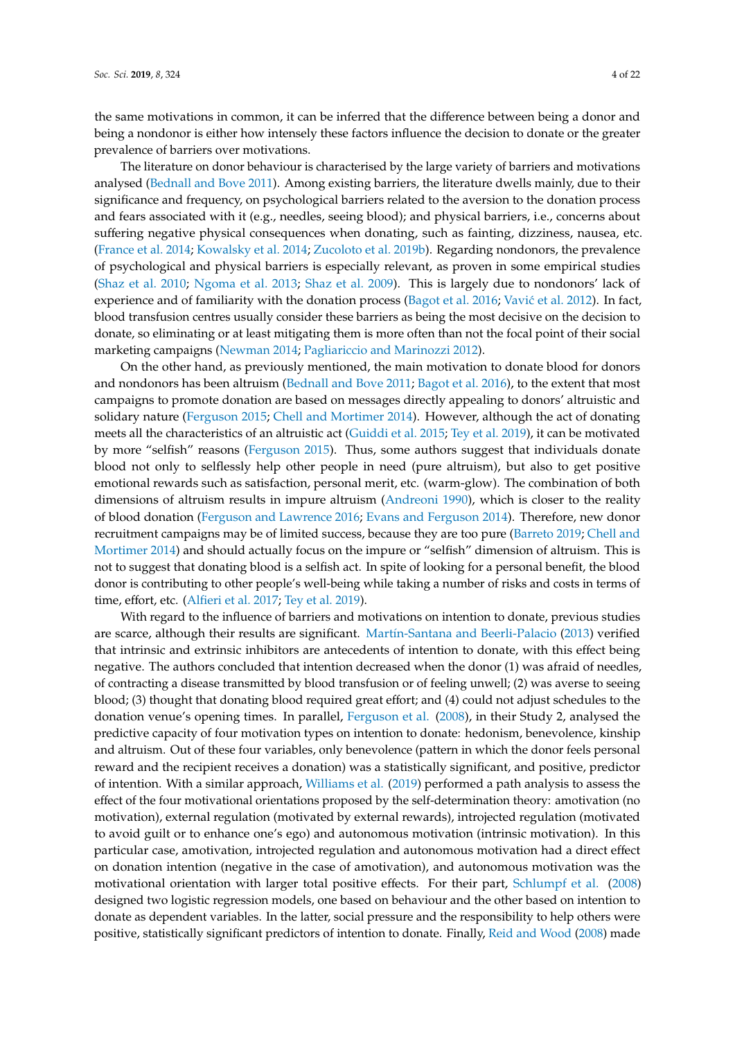the same motivations in common, it can be inferred that the difference between being a donor and being a nondonor is either how intensely these factors influence the decision to donate or the greater prevalence of barriers over motivations.

The literature on donor behaviour is characterised by the large variety of barriers and motivations analysed [\(Bednall and Bove](#page-16-2) [2011\)](#page-16-2). Among existing barriers, the literature dwells mainly, due to their significance and frequency, on psychological barriers related to the aversion to the donation process and fears associated with it (e.g., needles, seeing blood); and physical barriers, i.e., concerns about suffering negative physical consequences when donating, such as fainting, dizziness, nausea, etc. [\(France et al.](#page-17-4) [2014;](#page-17-4) [Kowalsky et al.](#page-18-9) [2014;](#page-18-9) [Zucoloto et al.](#page-21-1) [2019b\)](#page-21-1). Regarding nondonors, the prevalence of psychological and physical barriers is especially relevant, as proven in some empirical studies [\(Shaz et al.](#page-20-7) [2010;](#page-20-7) [Ngoma et al.](#page-19-7) [2013;](#page-19-7) [Shaz et al.](#page-20-9) [2009\)](#page-20-9). This is largely due to nondonors' lack of experience and of familiarity with the donation process [\(Bagot et al.](#page-16-3) [2016;](#page-16-3) Vavić et al. [2012\)](#page-20-1). In fact, blood transfusion centres usually consider these barriers as being the most decisive on the decision to donate, so eliminating or at least mitigating them is more often than not the focal point of their social marketing campaigns [\(Newman](#page-19-8) [2014;](#page-19-8) [Pagliariccio and Marinozzi](#page-19-9) [2012\)](#page-19-9).

On the other hand, as previously mentioned, the main motivation to donate blood for donors and nondonors has been altruism [\(Bednall and Bove](#page-16-2) [2011;](#page-16-2) [Bagot et al.](#page-16-3) [2016\)](#page-16-3), to the extent that most campaigns to promote donation are based on messages directly appealing to donors' altruistic and solidary nature [\(Ferguson](#page-17-5) [2015;](#page-17-5) [Chell and Mortimer](#page-17-6) [2014\)](#page-17-6). However, although the act of donating meets all the characteristics of an altruistic act [\(Guiddi et al.](#page-18-10) [2015;](#page-18-10) [Tey et al.](#page-20-10) [2019\)](#page-20-10), it can be motivated by more "selfish" reasons [\(Ferguson](#page-17-5) [2015\)](#page-17-5). Thus, some authors suggest that individuals donate blood not only to selflessly help other people in need (pure altruism), but also to get positive emotional rewards such as satisfaction, personal merit, etc. (warm-glow). The combination of both dimensions of altruism results in impure altruism [\(Andreoni](#page-16-4) [1990\)](#page-16-4), which is closer to the reality of blood donation [\(Ferguson and Lawrence](#page-17-7) [2016;](#page-17-7) [Evans and Ferguson](#page-17-8) [2014\)](#page-17-8). Therefore, new donor recruitment campaigns may be of limited success, because they are too pure [\(Barreto](#page-16-5) [2019;](#page-16-5) [Chell and](#page-17-6) [Mortimer](#page-17-6) [2014\)](#page-17-6) and should actually focus on the impure or "selfish" dimension of altruism. This is not to suggest that donating blood is a selfish act. In spite of looking for a personal benefit, the blood donor is contributing to other people's well-being while taking a number of risks and costs in terms of time, effort, etc. [\(Alfieri et al.](#page-16-6) [2017;](#page-16-6) [Tey et al.](#page-20-10) [2019\)](#page-20-10).

With regard to the influence of barriers and motivations on intention to donate, previous studies are scarce, although their results are significant. Martí[n-Santana and Beerli-Palacio](#page-19-2) [\(2013\)](#page-19-2) verified that intrinsic and extrinsic inhibitors are antecedents of intention to donate, with this effect being negative. The authors concluded that intention decreased when the donor (1) was afraid of needles, of contracting a disease transmitted by blood transfusion or of feeling unwell; (2) was averse to seeing blood; (3) thought that donating blood required great effort; and (4) could not adjust schedules to the donation venue's opening times. In parallel, [Ferguson et al.](#page-17-9) [\(2008\)](#page-17-9), in their Study 2, analysed the predictive capacity of four motivation types on intention to donate: hedonism, benevolence, kinship and altruism. Out of these four variables, only benevolence (pattern in which the donor feels personal reward and the recipient receives a donation) was a statistically significant, and positive, predictor of intention. With a similar approach, [Williams et al.](#page-20-11) [\(2019\)](#page-20-11) performed a path analysis to assess the effect of the four motivational orientations proposed by the self-determination theory: amotivation (no motivation), external regulation (motivated by external rewards), introjected regulation (motivated to avoid guilt or to enhance one's ego) and autonomous motivation (intrinsic motivation). In this particular case, amotivation, introjected regulation and autonomous motivation had a direct effect on donation intention (negative in the case of amotivation), and autonomous motivation was the motivational orientation with larger total positive effects. For their part, [Schlumpf et al.](#page-20-5) [\(2008\)](#page-20-5) designed two logistic regression models, one based on behaviour and the other based on intention to donate as dependent variables. In the latter, social pressure and the responsibility to help others were positive, statistically significant predictors of intention to donate. Finally, [Reid and Wood](#page-19-0) [\(2008\)](#page-19-0) made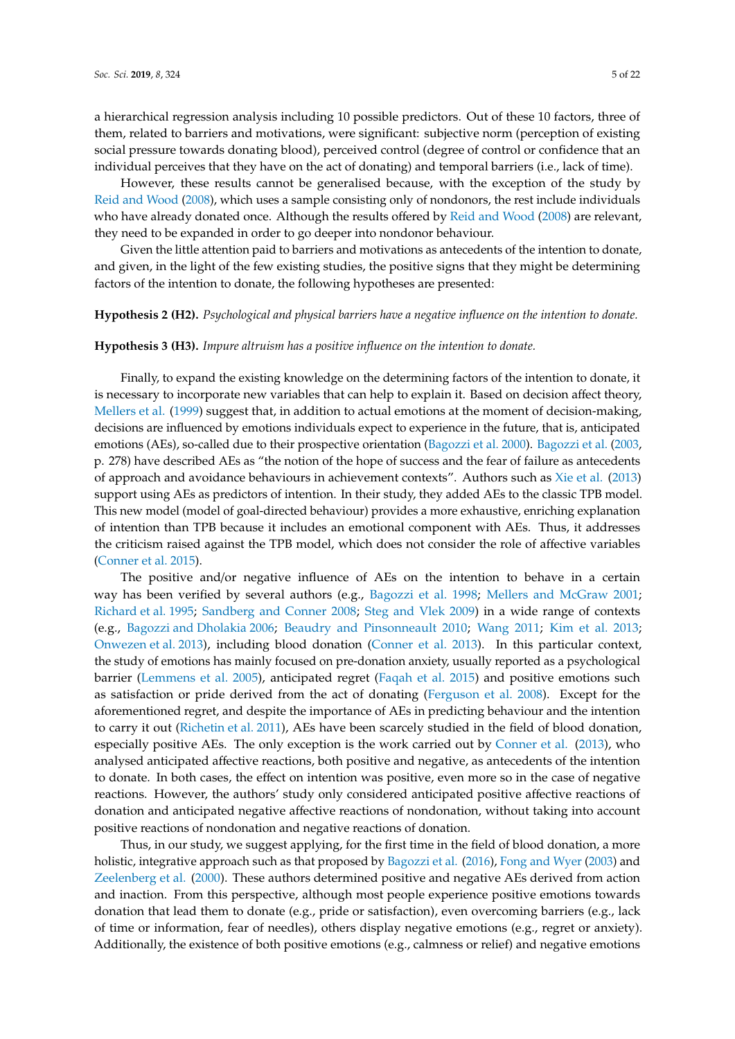a hierarchical regression analysis including 10 possible predictors. Out of these 10 factors, three of them, related to barriers and motivations, were significant: subjective norm (perception of existing social pressure towards donating blood), perceived control (degree of control or confidence that an individual perceives that they have on the act of donating) and temporal barriers (i.e., lack of time).

However, these results cannot be generalised because, with the exception of the study by [Reid and Wood](#page-19-0) [\(2008\)](#page-19-0), which uses a sample consisting only of nondonors, the rest include individuals who have already donated once. Although the results offered by [Reid and Wood](#page-19-0) [\(2008\)](#page-19-0) are relevant, they need to be expanded in order to go deeper into nondonor behaviour.

Given the little attention paid to barriers and motivations as antecedents of the intention to donate, and given, in the light of the few existing studies, the positive signs that they might be determining factors of the intention to donate, the following hypotheses are presented:

#### **Hypothesis 2 (H2).** *Psychological and physical barriers have a negative influence on the intention to donate.*

#### **Hypothesis 3 (H3).** *Impure altruism has a positive influence on the intention to donate.*

Finally, to expand the existing knowledge on the determining factors of the intention to donate, it is necessary to incorporate new variables that can help to explain it. Based on decision affect theory, [Mellers et al.](#page-19-10) [\(1999\)](#page-19-10) suggest that, in addition to actual emotions at the moment of decision-making, decisions are influenced by emotions individuals expect to experience in the future, that is, anticipated emotions (AEs), so-called due to their prospective orientation [\(Bagozzi et al.](#page-16-7) [2000\)](#page-16-7). [Bagozzi et al.](#page-16-8) [\(2003,](#page-16-8) p. 278) have described AEs as "the notion of the hope of success and the fear of failure as antecedents of approach and avoidance behaviours in achievement contexts". Authors such as [Xie et al.](#page-20-12) [\(2013\)](#page-20-12) support using AEs as predictors of intention. In their study, they added AEs to the classic TPB model. This new model (model of goal-directed behaviour) provides a more exhaustive, enriching explanation of intention than TPB because it includes an emotional component with AEs. Thus, it addresses the criticism raised against the TPB model, which does not consider the role of affective variables [\(Conner et al.](#page-17-10) [2015\)](#page-17-10).

The positive and/or negative influence of AEs on the intention to behave in a certain way has been verified by several authors (e.g., [Bagozzi et al.](#page-16-9) [1998;](#page-16-9) [Mellers and McGraw](#page-19-11) [2001;](#page-19-11) [Richard et al.](#page-19-12) [1995;](#page-19-12) [Sandberg and Conner](#page-20-13) [2008;](#page-20-13) [Steg and Vlek](#page-20-14) [2009\)](#page-20-14) in a wide range of contexts (e.g., [Bagozzi and Dholakia](#page-16-10) [2006;](#page-16-10) [Beaudry and Pinsonneault](#page-16-11) [2010;](#page-16-11) [Wang](#page-20-15) [2011;](#page-20-15) [Kim et al.](#page-18-11) [2013;](#page-18-11) [Onwezen et al.](#page-19-13) [2013\)](#page-19-13), including blood donation [\(Conner et al.](#page-17-11) [2013\)](#page-17-11). In this particular context, the study of emotions has mainly focused on pre-donation anxiety, usually reported as a psychological barrier [\(Lemmens et al.](#page-19-14) [2005\)](#page-19-14), anticipated regret [\(Faqah et al.](#page-17-3) [2015\)](#page-17-3) and positive emotions such as satisfaction or pride derived from the act of donating [\(Ferguson et al.](#page-17-9) [2008\)](#page-17-9). Except for the aforementioned regret, and despite the importance of AEs in predicting behaviour and the intention to carry it out [\(Richetin et al.](#page-19-15) [2011\)](#page-19-15), AEs have been scarcely studied in the field of blood donation, especially positive AEs. The only exception is the work carried out by [Conner et al.](#page-17-11) [\(2013\)](#page-17-11), who analysed anticipated affective reactions, both positive and negative, as antecedents of the intention to donate. In both cases, the effect on intention was positive, even more so in the case of negative reactions. However, the authors' study only considered anticipated positive affective reactions of donation and anticipated negative affective reactions of nondonation, without taking into account positive reactions of nondonation and negative reactions of donation.

Thus, in our study, we suggest applying, for the first time in the field of blood donation, a more holistic, integrative approach such as that proposed by [Bagozzi et al.](#page-16-12) [\(2016\)](#page-16-12), [Fong and Wyer](#page-17-12) [\(2003\)](#page-17-12) and [Zeelenberg et al.](#page-20-16) [\(2000\)](#page-20-16). These authors determined positive and negative AEs derived from action and inaction. From this perspective, although most people experience positive emotions towards donation that lead them to donate (e.g., pride or satisfaction), even overcoming barriers (e.g., lack of time or information, fear of needles), others display negative emotions (e.g., regret or anxiety). Additionally, the existence of both positive emotions (e.g., calmness or relief) and negative emotions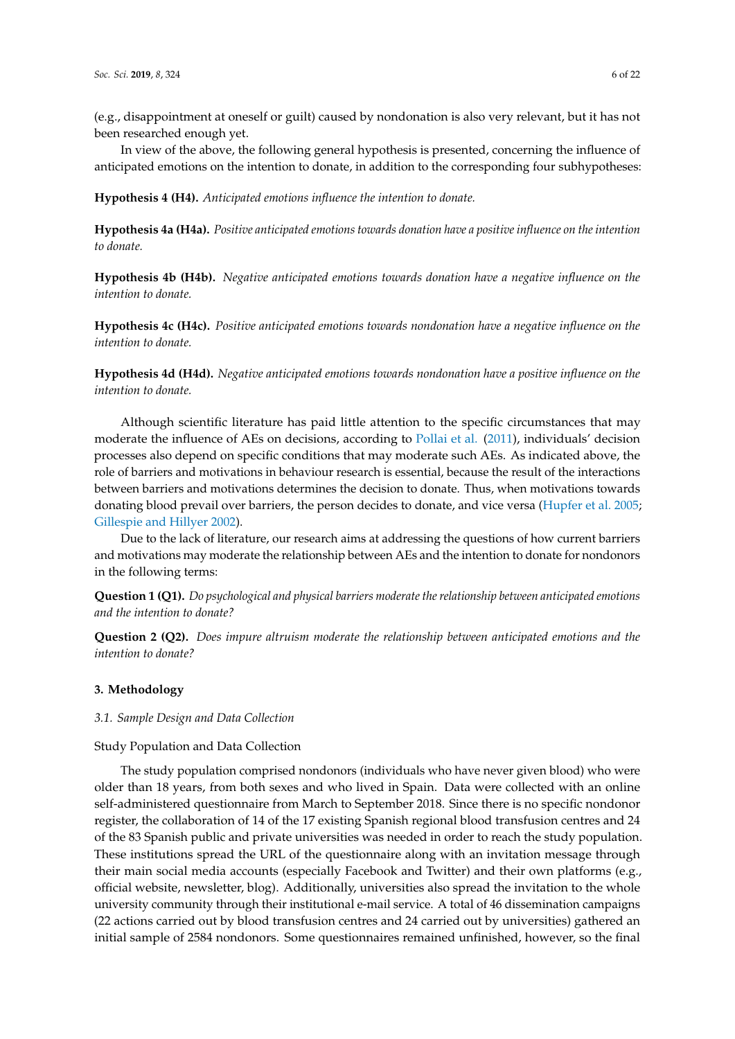(e.g., disappointment at oneself or guilt) caused by nondonation is also very relevant, but it has not been researched enough yet.

In view of the above, the following general hypothesis is presented, concerning the influence of anticipated emotions on the intention to donate, in addition to the corresponding four subhypotheses:

**Hypothesis 4 (H4).** *Anticipated emotions influence the intention to donate.*

**Hypothesis 4a (H4a).** *Positive anticipated emotions towards donation have a positive influence on the intention to donate.*

**Hypothesis 4b (H4b).** *Negative anticipated emotions towards donation have a negative influence on the intention to donate.*

**Hypothesis 4c (H4c).** *Positive anticipated emotions towards nondonation have a negative influence on the intention to donate.*

**Hypothesis 4d (H4d).** *Negative anticipated emotions towards nondonation have a positive influence on the intention to donate.*

Although scientific literature has paid little attention to the specific circumstances that may moderate the influence of AEs on decisions, according to [Pollai et al.](#page-19-16) [\(2011\)](#page-19-16), individuals' decision processes also depend on specific conditions that may moderate such AEs. As indicated above, the role of barriers and motivations in behaviour research is essential, because the result of the interactions between barriers and motivations determines the decision to donate. Thus, when motivations towards donating blood prevail over barriers, the person decides to donate, and vice versa [\(Hupfer et al.](#page-18-7) [2005;](#page-18-7) [Gillespie and Hillyer](#page-18-8) [2002\)](#page-18-8).

Due to the lack of literature, our research aims at addressing the questions of how current barriers and motivations may moderate the relationship between AEs and the intention to donate for nondonors in the following terms:

**Question 1 (Q1).** *Do psychological and physical barriers moderate the relationship between anticipated emotions and the intention to donate?*

**Question 2 (Q2).** *Does impure altruism moderate the relationship between anticipated emotions and the intention to donate?*

## **3. Methodology**

# *3.1. Sample Design and Data Collection*

Study Population and Data Collection

The study population comprised nondonors (individuals who have never given blood) who were older than 18 years, from both sexes and who lived in Spain. Data were collected with an online self-administered questionnaire from March to September 2018. Since there is no specific nondonor register, the collaboration of 14 of the 17 existing Spanish regional blood transfusion centres and 24 of the 83 Spanish public and private universities was needed in order to reach the study population. These institutions spread the URL of the questionnaire along with an invitation message through their main social media accounts (especially Facebook and Twitter) and their own platforms (e.g., official website, newsletter, blog). Additionally, universities also spread the invitation to the whole university community through their institutional e-mail service. A total of 46 dissemination campaigns (22 actions carried out by blood transfusion centres and 24 carried out by universities) gathered an initial sample of 2584 nondonors. Some questionnaires remained unfinished, however, so the final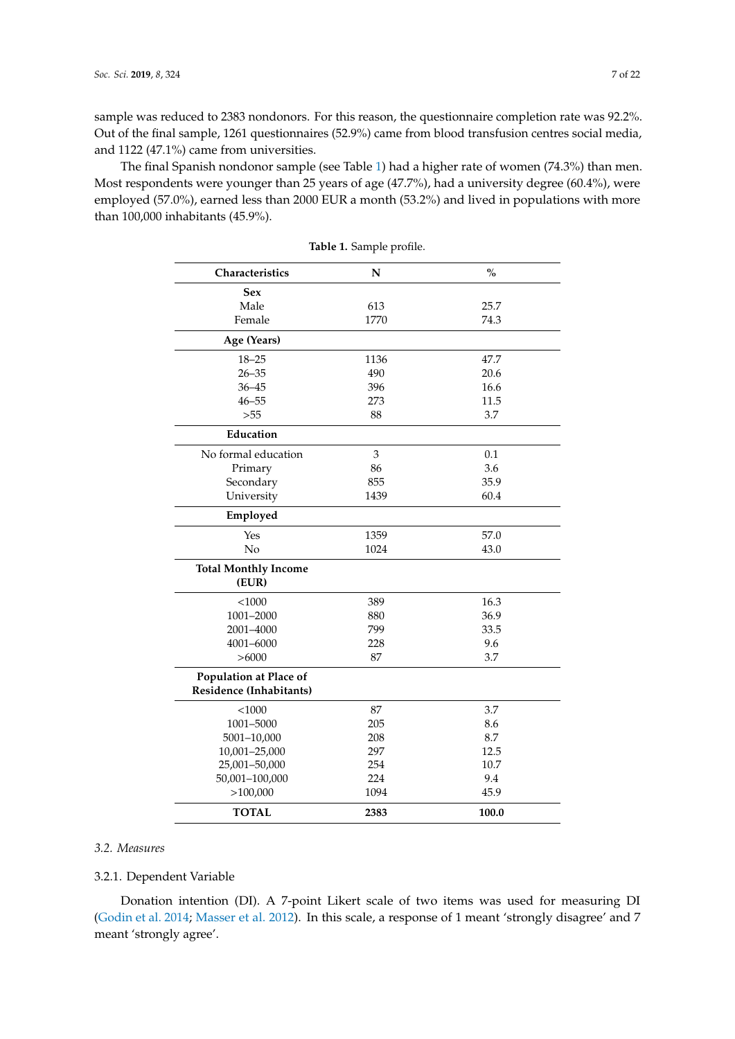sample was reduced to 2383 nondonors. For this reason, the questionnaire completion rate was 92.2%. Out of the final sample, 1261 questionnaires (52.9%) came from blood transfusion centres social media, and 1122 (47.1%) came from universities.

<span id="page-6-0"></span>The final Spanish nondonor sample (see Table [1\)](#page-6-0) had a higher rate of women (74.3%) than men. Most respondents were younger than 25 years of age (47.7%), had a university degree (60.4%), were employed (57.0%), earned less than 2000 EUR a month (53.2%) and lived in populations with more than 100,000 inhabitants (45.9%).

| Characteristics                                   | ${\bf N}$ | $\%$  |
|---------------------------------------------------|-----------|-------|
| <b>Sex</b>                                        |           |       |
| Male                                              | 613       | 25.7  |
| Female                                            | 1770      | 74.3  |
| Age (Years)                                       |           |       |
| $18 - 25$                                         | 1136      | 47.7  |
| $26 - 35$                                         | 490       | 20.6  |
| $36 - 45$                                         | 396       | 16.6  |
| $46 - 55$                                         | 273       | 11.5  |
| $>55$                                             | 88        | 3.7   |
| Education                                         |           |       |
| No formal education                               | 3         | 0.1   |
| Primary                                           | 86        | 3.6   |
| Secondary                                         | 855       | 35.9  |
| University                                        | 1439      | 60.4  |
| Employed                                          |           |       |
| Yes                                               | 1359      | 57.0  |
| No                                                | 1024      | 43.0  |
| <b>Total Monthly Income</b><br>(EUR)              |           |       |
| $<$ 1000                                          | 389       | 16.3  |
| 1001-2000                                         | 880       | 36.9  |
| 2001-4000                                         | 799       | 33.5  |
| 4001-6000                                         | 228       | 9.6   |
| >6000                                             | 87        | 3.7   |
| Population at Place of<br>Residence (Inhabitants) |           |       |
| $<$ 1000                                          | 87        | 3.7   |
| 1001-5000                                         | 205       | 8.6   |
| 5001-10,000                                       | 208       | 8.7   |
| 10,001-25,000                                     | 297       | 12.5  |
| 25,001-50,000                                     | 254       | 10.7  |
| 50,001-100,000                                    | 224       | 9.4   |
| >100,000                                          | 1094      | 45.9  |
| <b>TOTAL</b>                                      | 2383      | 100.0 |

| Table 1. Sample profile. |
|--------------------------|
|--------------------------|

#### *3.2. Measures*

### 3.2.1. Dependent Variable

Donation intention (DI). A 7-point Likert scale of two items was used for measuring DI [\(Godin et al.](#page-18-12) [2014;](#page-18-12) [Masser et al.](#page-19-17) [2012\)](#page-19-17). In this scale, a response of 1 meant 'strongly disagree' and 7 meant 'strongly agree'.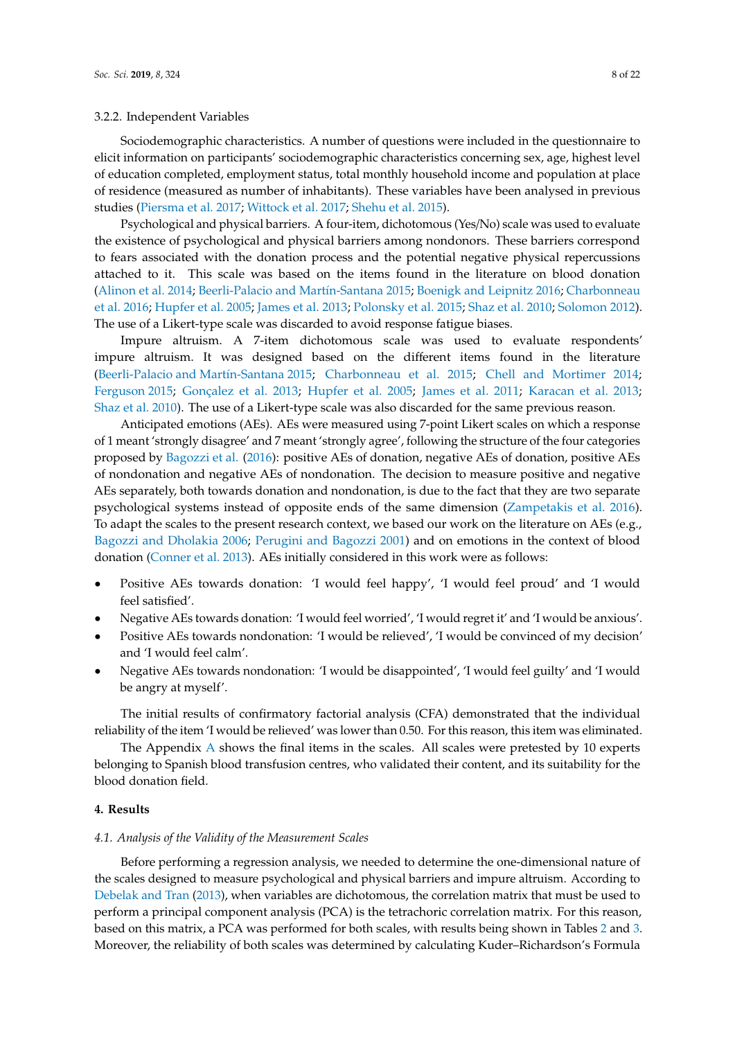### 3.2.2. Independent Variables

Sociodemographic characteristics. A number of questions were included in the questionnaire to elicit information on participants' sociodemographic characteristics concerning sex, age, highest level of education completed, employment status, total monthly household income and population at place of residence (measured as number of inhabitants). These variables have been analysed in previous studies [\(Piersma et al.](#page-19-1) [2017;](#page-19-1) [Wittock et al.](#page-20-6) [2017;](#page-20-6) [Shehu et al.](#page-20-17) [2015\)](#page-20-17).

Psychological and physical barriers. A four-item, dichotomous (Yes/No) scale was used to evaluate the existence of psychological and physical barriers among nondonors. These barriers correspond to fears associated with the donation process and the potential negative physical repercussions attached to it. This scale was based on the items found in the literature on blood donation [\(Alinon et al.](#page-16-13) [2014;](#page-16-13) [Beerli-Palacio and Mart](#page-16-14)ín-Santana [2015;](#page-16-14) [Boenigk and Leipnitz](#page-17-13) [2016;](#page-17-13) [Charbonneau](#page-17-14) [et al.](#page-17-14) [2016;](#page-17-14) [Hupfer et al.](#page-18-7) [2005;](#page-18-7) [James et al.](#page-18-5) [2013;](#page-18-5) [Polonsky et al.](#page-19-18) [2015;](#page-19-18) [Shaz et al.](#page-20-7) [2010;](#page-20-7) [Solomon](#page-20-18) [2012\)](#page-20-18). The use of a Likert-type scale was discarded to avoid response fatigue biases.

Impure altruism. A 7-item dichotomous scale was used to evaluate respondents' impure altruism. It was designed based on the different items found in the literature [\(Beerli-Palacio and Mart](#page-16-14)ín-Santana [2015;](#page-16-14) [Charbonneau et al.](#page-17-15) [2015;](#page-17-15) [Chell and Mortimer](#page-17-6) [2014;](#page-17-6) [Ferguson](#page-17-5) [2015;](#page-17-5) [Gonçalez et al.](#page-18-13) [2013;](#page-18-13) [Hupfer et al.](#page-18-7) [2005;](#page-18-7) [James et al.](#page-18-14) [2011;](#page-18-14) [Karacan et al.](#page-18-15) [2013;](#page-18-15) [Shaz et al.](#page-20-7) [2010\)](#page-20-7). The use of a Likert-type scale was also discarded for the same previous reason.

Anticipated emotions (AEs). AEs were measured using 7-point Likert scales on which a response of 1 meant 'strongly disagree' and 7 meant 'strongly agree', following the structure of the four categories proposed by [Bagozzi et al.](#page-16-12) [\(2016\)](#page-16-12): positive AEs of donation, negative AEs of donation, positive AEs of nondonation and negative AEs of nondonation. The decision to measure positive and negative AEs separately, both towards donation and nondonation, is due to the fact that they are two separate psychological systems instead of opposite ends of the same dimension [\(Zampetakis et al.](#page-20-19) [2016\)](#page-20-19). To adapt the scales to the present research context, we based our work on the literature on AEs (e.g., [Bagozzi and Dholakia](#page-16-10) [2006;](#page-16-10) [Perugini and Bagozzi](#page-19-19) [2001\)](#page-19-19) and on emotions in the context of blood donation [\(Conner et al.](#page-17-11) [2013\)](#page-17-11). AEs initially considered in this work were as follows:

- Positive AEs towards donation: 'I would feel happy', 'I would feel proud' and 'I would feel satisfied'.
- Negative AEs towards donation: 'I would feel worried', 'I would regret it' and 'I would be anxious'.
- Positive AEs towards nondonation: 'I would be relieved', 'I would be convinced of my decision' and 'I would feel calm'.
- Negative AEs towards nondonation: 'I would be disappointed', 'I would feel guilty' and 'I would be angry at myself'.

The initial results of confirmatory factorial analysis (CFA) demonstrated that the individual reliability of the item 'I would be relieved' was lower than 0.50. For this reason, this item was eliminated.

The Appendix [A](#page-15-0) shows the final items in the scales. All scales were pretested by 10 experts belonging to Spanish blood transfusion centres, who validated their content, and its suitability for the blood donation field.

#### **4. Results**

### *4.1. Analysis of the Validity of the Measurement Scales*

Before performing a regression analysis, we needed to determine the one-dimensional nature of the scales designed to measure psychological and physical barriers and impure altruism. According to [Debelak and Tran](#page-17-16) [\(2013\)](#page-17-16), when variables are dichotomous, the correlation matrix that must be used to perform a principal component analysis (PCA) is the tetrachoric correlation matrix. For this reason, based on this matrix, a PCA was performed for both scales, with results being shown in Tables [2](#page-8-0) and [3.](#page-8-1) Moreover, the reliability of both scales was determined by calculating Kuder–Richardson's Formula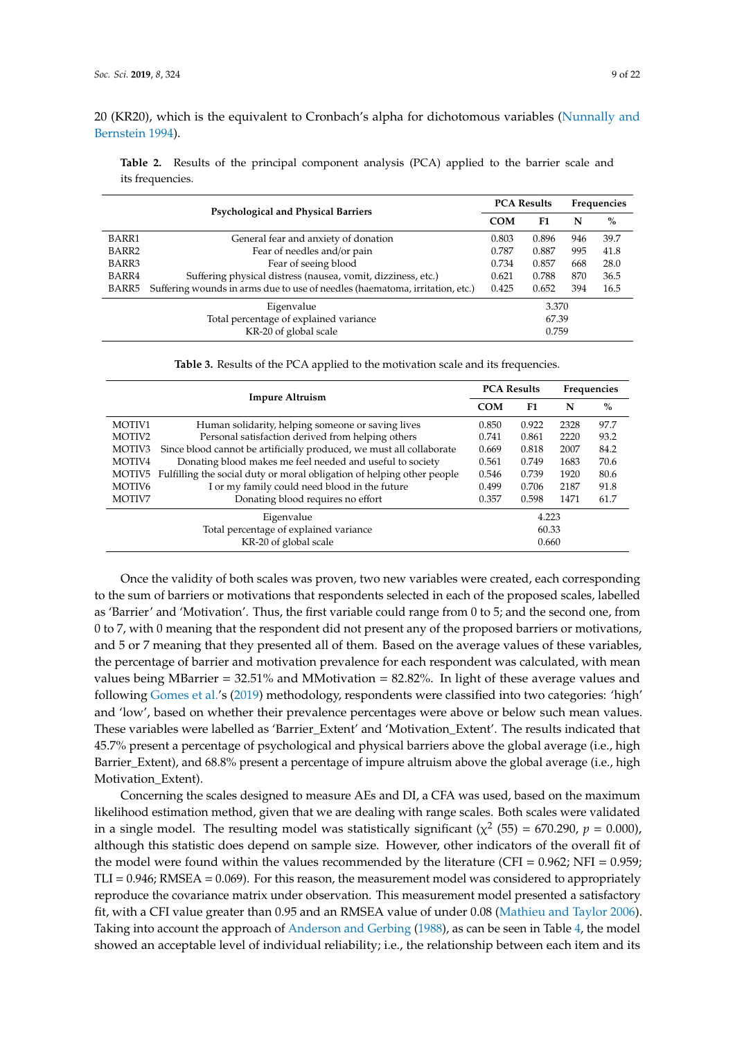20 (KR20), which is the equivalent to Cronbach's alpha for dichotomous variables [\(Nunnally and](#page-19-20) [Bernstein](#page-19-20) [1994\)](#page-19-20).

<span id="page-8-0"></span>**Table 2.** Results of the principal component analysis (PCA) applied to the barrier scale and its frequencies.

|       | <b>Psychological and Physical Barriers</b>                                   |            |       |     | <b>Frequencies</b> |  |
|-------|------------------------------------------------------------------------------|------------|-------|-----|--------------------|--|
|       |                                                                              | <b>COM</b> | F1    | N   | $\%$               |  |
| BARR1 | General fear and anxiety of donation                                         | 0.803      | 0.896 | 946 | 39.7               |  |
| BARR2 | Fear of needles and/or pain                                                  | 0.787      | 0.887 | 995 | 41.8               |  |
| BARR3 | Fear of seeing blood                                                         | 0.734      | 0.857 | 668 | 28.0               |  |
| BARR4 | Suffering physical distress (nausea, vomit, dizziness, etc.)                 | 0.621      | 0.788 | 870 | 36.5               |  |
| BARR5 | Suffering wounds in arms due to use of needles (haematoma, irritation, etc.) | 0.425      | 0.652 | 394 | 16.5               |  |
|       | Eigenvalue                                                                   |            | 3.370 |     |                    |  |
|       | Total percentage of explained variance                                       |            | 67.39 |     |                    |  |
|       | KR-20 of global scale                                                        |            | 0.759 |     |                    |  |

<span id="page-8-1"></span>

|                    | <b>Impure Altruism</b>                                                        | <b>PCA Results</b> |       |      | <b>Frequencies</b> |
|--------------------|-------------------------------------------------------------------------------|--------------------|-------|------|--------------------|
|                    |                                                                               | <b>COM</b>         | F1    | N    | $\%$               |
| MOTIV <sub>1</sub> | Human solidarity, helping someone or saving lives                             | 0.850              | 0.922 | 2328 | 97.7               |
| MOTIV2             | Personal satisfaction derived from helping others                             | 0.741              | 0.861 | 2220 | 93.2               |
| MOTIV3             | Since blood cannot be artificially produced, we must all collaborate          | 0.669              | 0.818 | 2007 | 84.2               |
| MOTIV4             | Donating blood makes me feel needed and useful to society                     | 0.561              | 0.749 | 1683 | 70.6               |
|                    | MOTIV5 Fulfilling the social duty or moral obligation of helping other people | 0.546              | 0.739 | 1920 | 80.6               |
| MOTIV <sub>6</sub> | I or my family could need blood in the future                                 | 0.499              | 0.706 | 2187 | 91.8               |
| MOTIV7             | Donating blood requires no effort                                             | 0.357              | 0.598 | 1471 | 61.7               |
|                    | Eigenvalue                                                                    |                    | 4.223 |      |                    |
|                    | Total percentage of explained variance                                        |                    | 60.33 |      |                    |
|                    | KR-20 of global scale                                                         |                    | 0.660 |      |                    |

Once the validity of both scales was proven, two new variables were created, each corresponding to the sum of barriers or motivations that respondents selected in each of the proposed scales, labelled as 'Barrier' and 'Motivation'. Thus, the first variable could range from 0 to 5; and the second one, from 0 to 7, with 0 meaning that the respondent did not present any of the proposed barriers or motivations, and 5 or 7 meaning that they presented all of them. Based on the average values of these variables, the percentage of barrier and motivation prevalence for each respondent was calculated, with mean values being MBarrier = 32.51% and MMotivation = 82.82%. In light of these average values and following [Gomes et al.'](#page-18-16)s [\(2019\)](#page-18-16) methodology, respondents were classified into two categories: 'high' and 'low', based on whether their prevalence percentages were above or below such mean values. These variables were labelled as 'Barrier\_Extent' and 'Motivation\_Extent'. The results indicated that 45.7% present a percentage of psychological and physical barriers above the global average (i.e., high Barrier\_Extent), and 68.8% present a percentage of impure altruism above the global average (i.e., high Motivation\_Extent).

Concerning the scales designed to measure AEs and DI, a CFA was used, based on the maximum likelihood estimation method, given that we are dealing with range scales. Both scales were validated in a single model. The resulting model was statistically significant ( $\chi^2$  (55) = 670.290,  $p = 0.000$ ), although this statistic does depend on sample size. However, other indicators of the overall fit of the model were found within the values recommended by the literature (CFI =  $0.962$ ; NFI =  $0.959$ ;  $TLI = 0.946$ ; RMSEA = 0.069). For this reason, the measurement model was considered to appropriately reproduce the covariance matrix under observation. This measurement model presented a satisfactory fit, with a CFI value greater than 0.95 and an RMSEA value of under 0.08 [\(Mathieu and Taylor](#page-19-21) [2006\)](#page-19-21). Taking into account the approach of [Anderson and Gerbing](#page-16-15) [\(1988\)](#page-16-15), as can be seen in Table [4,](#page-9-0) the model showed an acceptable level of individual reliability; i.e., the relationship between each item and its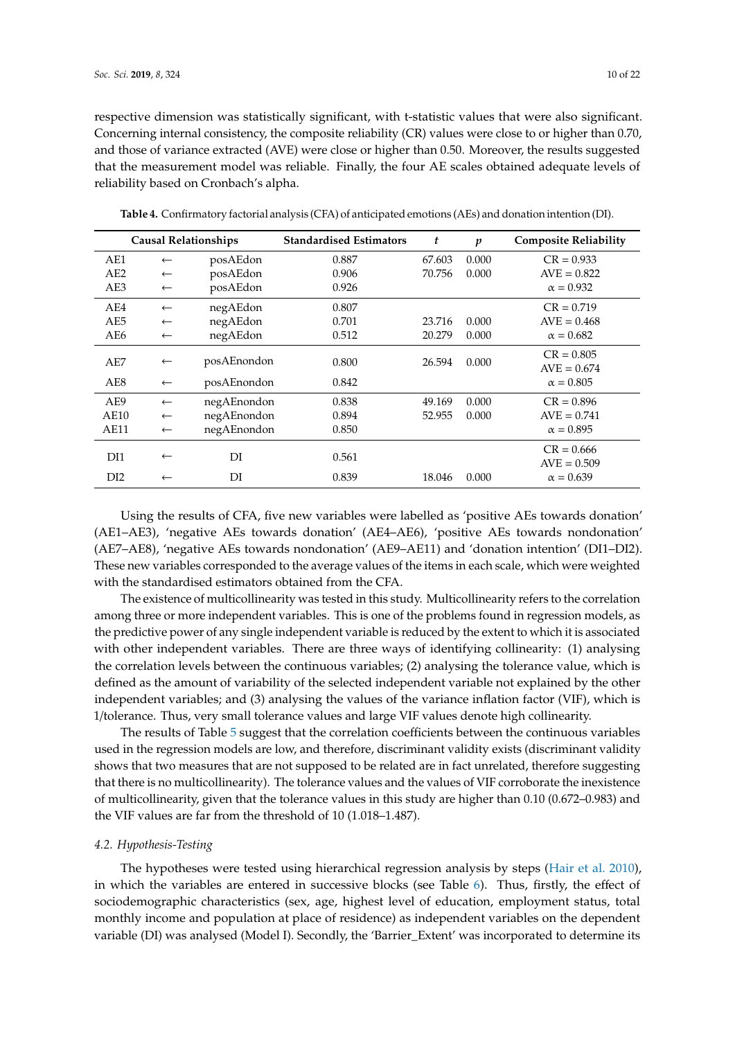respective dimension was statistically significant, with t-statistic values that were also significant. Concerning internal consistency, the composite reliability (CR) values were close to or higher than 0.70, and those of variance extracted (AVE) were close or higher than 0.50. Moreover, the results suggested that the measurement model was reliable. Finally, the four AE scales obtained adequate levels of reliability based on Cronbach's alpha.

|                 | <b>Causal Relationships</b> |             | <b>Standardised Estimators</b> | t      | $\boldsymbol{p}$ | <b>Composite Reliability</b>  |
|-----------------|-----------------------------|-------------|--------------------------------|--------|------------------|-------------------------------|
| AE1             | $\leftarrow$                | posAEdon    | 0.887                          | 67.603 | 0.000            | $CR = 0.933$                  |
| AE <sub>2</sub> | $\leftarrow$                | posAEdon    | 0.906                          | 70.756 | 0.000            | $AVE = 0.822$                 |
| AE3             | $\leftarrow$                | posAEdon    | 0.926                          |        |                  | $\alpha = 0.932$              |
| AE4             | $\leftarrow$                | negAEdon    | 0.807                          |        |                  | $CR = 0.719$                  |
| AE5             | $\leftarrow$                | negAEdon    | 0.701                          | 23.716 | 0.000            | $AVE = 0.468$                 |
| AE6             | $\leftarrow$                | negAEdon    | 0.512                          | 20.279 | 0.000            | $\alpha = 0.682$              |
| AE7             | $\leftarrow$                | posAEnondon | 0.800                          | 26.594 | 0.000            | $CR = 0.805$<br>$AVE = 0.674$ |
| AE8             | $\leftarrow$                | posAEnondon | 0.842                          |        |                  | $\alpha = 0.805$              |
| AE9             | $\leftarrow$                | negAEnondon | 0.838                          | 49.169 | 0.000            | $CR = 0.896$                  |
| AE10            | $\leftarrow$                | negAEnondon | 0.894                          | 52.955 | 0.000            | $AVE = 0.741$                 |
| AE11            | $\leftarrow$                | negAEnondon | 0.850                          |        |                  | $\alpha = 0.895$              |
| DI1             | $\leftarrow$                | DI          | 0.561                          |        |                  | $CR = 0.666$<br>$AVE = 0.509$ |
| DI <sub>2</sub> | $\leftarrow$                | DI          | 0.839                          | 18.046 | 0.000            | $\alpha = 0.639$              |

<span id="page-9-0"></span>**Table 4.** Confirmatory factorial analysis (CFA) of anticipated emotions (AEs) and donation intention (DI).

Using the results of CFA, five new variables were labelled as 'positive AEs towards donation' (AE1–AE3), 'negative AEs towards donation' (AE4–AE6), 'positive AEs towards nondonation' (AE7–AE8), 'negative AEs towards nondonation' (AE9–AE11) and 'donation intention' (DI1–DI2). These new variables corresponded to the average values of the items in each scale, which were weighted with the standardised estimators obtained from the CFA.

The existence of multicollinearity was tested in this study. Multicollinearity refers to the correlation among three or more independent variables. This is one of the problems found in regression models, as the predictive power of any single independent variable is reduced by the extent to which it is associated with other independent variables. There are three ways of identifying collinearity: (1) analysing the correlation levels between the continuous variables; (2) analysing the tolerance value, which is defined as the amount of variability of the selected independent variable not explained by the other independent variables; and (3) analysing the values of the variance inflation factor (VIF), which is 1/tolerance. Thus, very small tolerance values and large VIF values denote high collinearity.

The results of Table [5](#page-10-0) suggest that the correlation coefficients between the continuous variables used in the regression models are low, and therefore, discriminant validity exists (discriminant validity shows that two measures that are not supposed to be related are in fact unrelated, therefore suggesting that there is no multicollinearity). The tolerance values and the values of VIF corroborate the inexistence of multicollinearity, given that the tolerance values in this study are higher than 0.10 (0.672–0.983) and the VIF values are far from the threshold of 10 (1.018–1.487).

#### *4.2. Hypothesis-Testing*

The hypotheses were tested using hierarchical regression analysis by steps [\(Hair et al.](#page-18-17) [2010\)](#page-18-17), in which the variables are entered in successive blocks (see Table [6\)](#page-11-0). Thus, firstly, the effect of sociodemographic characteristics (sex, age, highest level of education, employment status, total monthly income and population at place of residence) as independent variables on the dependent variable (DI) was analysed (Model I). Secondly, the 'Barrier\_Extent' was incorporated to determine its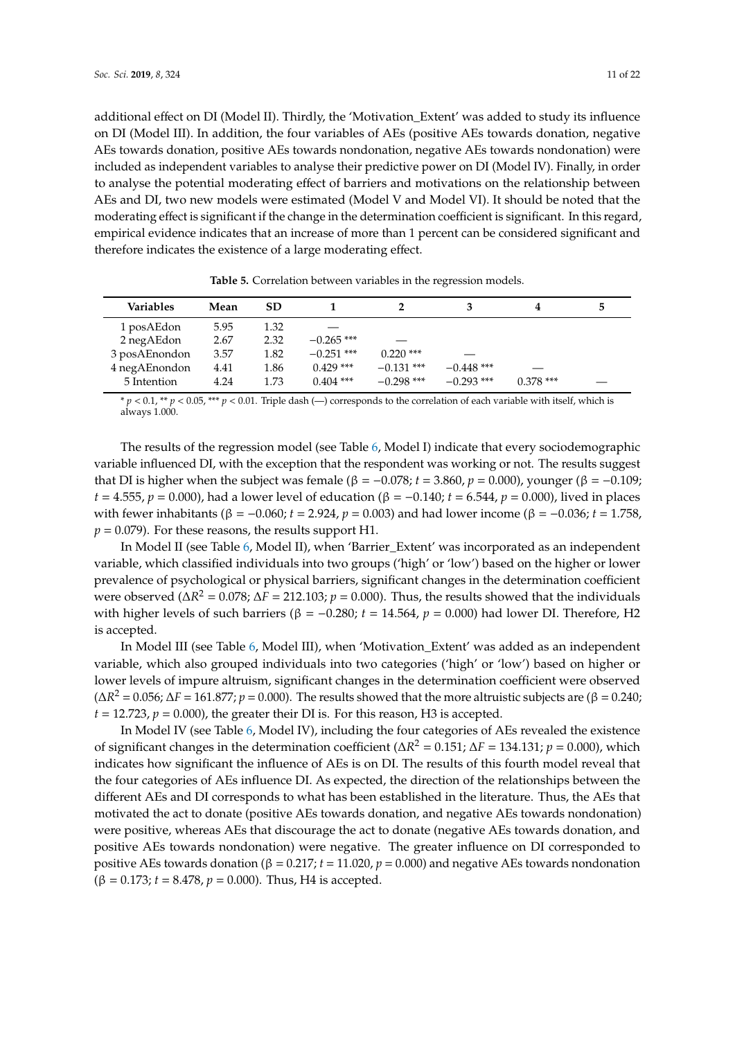additional effect on DI (Model II). Thirdly, the 'Motivation\_Extent' was added to study its influence on DI (Model III). In addition, the four variables of AEs (positive AEs towards donation, negative AEs towards donation, positive AEs towards nondonation, negative AEs towards nondonation) were included as independent variables to analyse their predictive power on DI (Model IV). Finally, in order to analyse the potential moderating effect of barriers and motivations on the relationship between AEs and DI, two new models were estimated (Model V and Model VI). It should be noted that the moderating effect is significant if the change in the determination coefficient is significant. In this regard, empirical evidence indicates that an increase of more than 1 percent can be considered significant and therefore indicates the existence of a large moderating effect.

<span id="page-10-0"></span>

| Variables     | Mean | <b>SD</b> |              |              |              | 4           |  |
|---------------|------|-----------|--------------|--------------|--------------|-------------|--|
| 1 posAEdon    | 5.95 | 1.32      |              |              |              |             |  |
| 2 negAEdon    | 2.67 | 2.32      | $-0.265$ *** |              |              |             |  |
| 3 posAEnondon | 3.57 | 1.82      | $-0.251$ *** | $0.220$ ***  |              |             |  |
| 4 negAEnondon | 4.41 | 1.86      | $0.429$ ***  | $-0.131$ *** | $-0.448$ *** |             |  |
| 5 Intention   | 4.24 | 1.73      | $0.404$ ***  | $-0.298$ *** | $-0.293$ *** | $0.378$ *** |  |

**Table 5.** Correlation between variables in the regression models.

 $* p < 0.1$ ,  $* p < 0.05$ ,  $* * p < 0.01$ . Triple dash (-) corresponds to the correlation of each variable with itself, which is always 1.000.

The results of the regression model (see Table [6,](#page-11-0) Model I) indicate that every sociodemographic variable influenced DI, with the exception that the respondent was working or not. The results suggest that DI is higher when the subject was female ( $β = -0.078$ ;  $t = 3.860$ ,  $p = 0.000$ ), younger ( $β = -0.109$ ; *t* = 4.555, *p* = 0.000), had a lower level of education (β = -0.140; *t* = 6.544, *p* = 0.000), lived in places with fewer inhabitants (β = −0.060; *t* = 2.924, *p* = 0.003) and had lower income (β = −0.036; *t* = 1.758,  $p = 0.079$ ). For these reasons, the results support H1.

In Model II (see Table [6,](#page-11-0) Model II), when 'Barrier\_Extent' was incorporated as an independent variable, which classified individuals into two groups ('high' or 'low') based on the higher or lower prevalence of psychological or physical barriers, significant changes in the determination coefficient were observed ( $\Delta R^2 = 0.078$ ;  $\Delta F = 212.103$ ;  $p = 0.000$ ). Thus, the results showed that the individuals with higher levels of such barriers ( $β = -0.280$ ;  $t = 14.564$ ,  $p = 0.000$ ) had lower DI. Therefore, H2 is accepted.

In Model III (see Table [6,](#page-11-0) Model III), when 'Motivation\_Extent' was added as an independent variable, which also grouped individuals into two categories ('high' or 'low') based on higher or lower levels of impure altruism, significant changes in the determination coefficient were observed  $(ΔR<sup>2</sup> = 0.056; ΔF = 161.877; p = 0.000).$  The results showed that the more altruistic subjects are (β = 0.240;  $t = 12.723$ ,  $p = 0.000$ ), the greater their DI is. For this reason, H3 is accepted.

In Model IV (see Table [6,](#page-11-0) Model IV), including the four categories of AEs revealed the existence of significant changes in the determination coefficient ( $\Delta R^2 = 0.151$ ;  $\Delta F = 134.131$ ;  $p = 0.000$ ), which indicates how significant the influence of AEs is on DI. The results of this fourth model reveal that the four categories of AEs influence DI. As expected, the direction of the relationships between the different AEs and DI corresponds to what has been established in the literature. Thus, the AEs that motivated the act to donate (positive AEs towards donation, and negative AEs towards nondonation) were positive, whereas AEs that discourage the act to donate (negative AEs towards donation, and positive AEs towards nondonation) were negative. The greater influence on DI corresponded to positive AEs towards donation (β = 0.217; *t* = 11.020, *p* = 0.000) and negative AEs towards nondonation  $(\beta = 0.173; t = 8.478, p = 0.000)$ . Thus, H4 is accepted.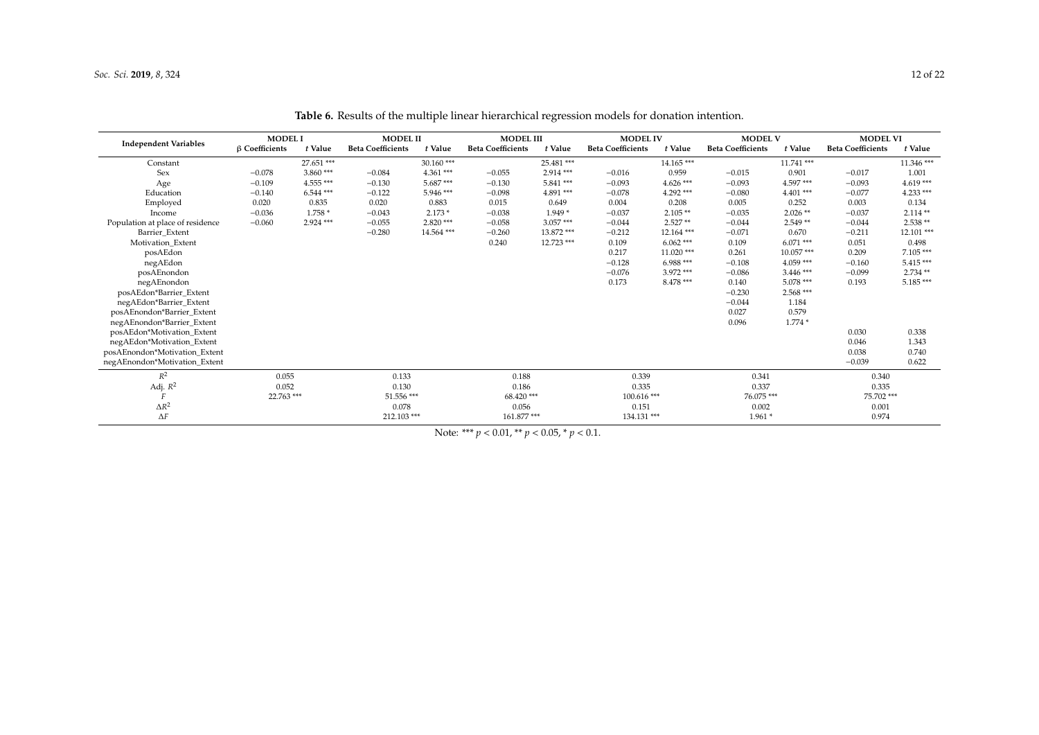<span id="page-11-0"></span>

| <b>Independent Variables</b>     | <b>MODELI</b>  |            | <b>MODEL II</b>          |              | <b>MODEL III</b>         |            | <b>MODEL IV</b>          |             | <b>MODEL V</b>           |             | <b>MODEL VI</b>          |            |
|----------------------------------|----------------|------------|--------------------------|--------------|--------------------------|------------|--------------------------|-------------|--------------------------|-------------|--------------------------|------------|
|                                  | β Coefficients | t Value    | <b>Beta Coefficients</b> | t Value      | <b>Beta Coefficients</b> | t Value    | <b>Beta Coefficients</b> | t Value     | <b>Beta Coefficients</b> | t Value     | <b>Beta Coefficients</b> | t Value    |
| Constant                         |                | 27.651 *** |                          | $30.160$ *** |                          | 25.481***  |                          | 14.165***   |                          | 11.741 ***  |                          | 11.346 *** |
| Sex                              | $-0.078$       | $3.860***$ | $-0.084$                 | $4.361***$   | $-0.055$                 | $2.914***$ | $-0.016$                 | 0.959       | $-0.015$                 | 0.901       | $-0.017$                 | 1.001      |
| Age                              | $-0.109$       | $4.555***$ | $-0.130$                 | 5.687***     | $-0.130$                 | 5.841 ***  | $-0.093$                 | $4.626***$  | $-0.093$                 | 4.597***    | $-0.093$                 | $4.619***$ |
| Education                        | $-0.140$       | $6.544***$ | $-0.122$                 | 5.946***     | $-0.098$                 | 4.891***   | $-0.078$                 | $4.292$ *** | $-0.080$                 | $4.401***$  | $-0.077$                 | $4.233***$ |
| Employed                         | 0.020          | 0.835      | 0.020                    | 0.883        | 0.015                    | 0.649      | 0.004                    | 0.208       | 0.005                    | 0.252       | 0.003                    | 0.134      |
| Income                           | $-0.036$       | 1.758 *    | $-0.043$                 | $2.173*$     | $-0.038$                 | $1.949*$   | $-0.037$                 | $2.105**$   | $-0.035$                 | $2.026**$   | $-0.037$                 | $2.114**$  |
| Population at place of residence | $-0.060$       | 2.924 ***  | $-0.055$                 | $2.820***$   | $-0.058$                 | $3.057***$ | $-0.044$                 | $2.527**$   | $-0.044$                 | $2.549**$   | $-0.044$                 | 2.538 **   |
| Barrier Extent                   |                |            | $-0.280$                 | 14.564 ***   | $-0.260$                 | 13.872 *** | $-0.212$                 | 12.164 ***  | $-0.071$                 | 0.670       | $-0.211$                 | 12.101***  |
| Motivation Extent                |                |            |                          |              | 0.240                    | 12.723 *** | 0.109                    | $6.062***$  | 0.109                    | $6.071$ *** | 0.051                    | 0.498      |
| posAEdon                         |                |            |                          |              |                          |            | 0.217                    | $11.020***$ | 0.261                    | 10.057***   | 0.209                    | 7.105***   |
| negAEdon                         |                |            |                          |              |                          |            | $-0.128$                 | $6.988***$  | $-0.108$                 | $4.059***$  | $-0.160$                 | 5.415***   |
| posAEnondon                      |                |            |                          |              |                          |            | $-0.076$                 | 3.972***    | $-0.086$                 | $3.446$ *** | $-0.099$                 | 2.734 **   |
| negAEnondon                      |                |            |                          |              |                          |            | 0.173                    | 8.478 ***   | 0.140                    | $5.078***$  | 0.193                    | 5.185***   |
| posAEdon*Barrier_Extent          |                |            |                          |              |                          |            |                          |             | $-0.230$                 | $2.568***$  |                          |            |
| negAEdon*Barrier_Extent          |                |            |                          |              |                          |            |                          |             | $-0.044$                 | 1.184       |                          |            |
| posAEnondon*Barrier Extent       |                |            |                          |              |                          |            |                          |             | 0.027                    | 0.579       |                          |            |
| negAEnondon*Barrier_Extent       |                |            |                          |              |                          |            |                          |             | 0.096                    | $1.774*$    |                          |            |
| posAEdon*Motivation_Extent       |                |            |                          |              |                          |            |                          |             |                          |             | 0.030                    | 0.338      |
| negAEdon*Motivation_Extent       |                |            |                          |              |                          |            |                          |             |                          |             | 0.046                    | 1.343      |
| posAEnondon*Motivation_Extent    |                |            |                          |              |                          |            |                          |             |                          |             | 0.038                    | 0.740      |
| negAEnondon*Motivation_Extent    |                |            |                          |              |                          |            |                          |             |                          |             | $-0.039$                 | 0.622      |
| $R^2$                            | 0.055          |            | 0.133                    |              | 0.188                    |            | 0.339                    |             | 0.341                    |             | 0.340                    |            |
| Adj. $R^2$                       | 0.052          |            | 0.130                    |              | 0.186                    |            | 0.335                    |             | 0.337                    |             | 0.335                    |            |
|                                  | 22.763***      |            | 51.556 ***               |              | 68.420 ***               |            | $100.616***$             |             | 76.075***                |             | 75.702 ***               |            |
| $\Delta R^2$                     |                |            | 0.078                    |              | 0.056                    |            | 0.151                    |             | 0.002                    |             | 0.001                    |            |
| $\Delta F$                       |                |            | 212.103***               |              | 161.877***               |            | 134.131***               |             | $1.961*$                 |             | 0.974                    |            |

**Table 6.** Results of the multiple linear hierarchical regression models for donation intention.

Note: \*\*\* *p* < 0.01, \*\* *p* < 0.05, \* *p* < 0.1.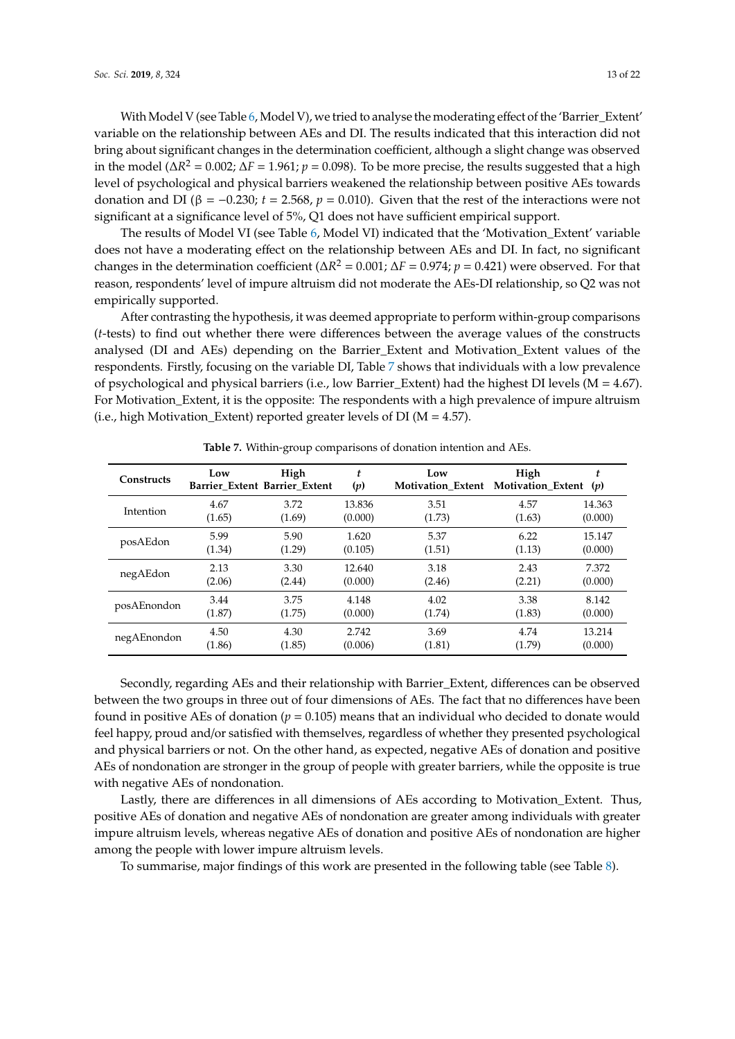With Model V (see Table [6,](#page-11-0) Model V), we tried to analyse the moderating effect of the 'Barrier\_Extent' variable on the relationship between AEs and DI. The results indicated that this interaction did not bring about significant changes in the determination coefficient, although a slight change was observed in the model (Δ $R^2$  = 0.002; Δ*F* = 1.961; *p* = 0.098). To be more precise, the results suggested that a high level of psychological and physical barriers weakened the relationship between positive AEs towards donation and DI (β =  $-0.230$ ; *t* = 2.568, *p* = 0.010). Given that the rest of the interactions were not significant at a significance level of 5%, Q1 does not have sufficient empirical support.

The results of Model VI (see Table [6,](#page-11-0) Model VI) indicated that the 'Motivation\_Extent' variable does not have a moderating effect on the relationship between AEs and DI. In fact, no significant changes in the determination coefficient ( $\Delta R^2 = 0.001$ ;  $\Delta F = 0.974$ ;  $p = 0.421$ ) were observed. For that reason, respondents' level of impure altruism did not moderate the AEs-DI relationship, so Q2 was not empirically supported.

After contrasting the hypothesis, it was deemed appropriate to perform within-group comparisons (*t*-tests) to find out whether there were differences between the average values of the constructs analysed (DI and AEs) depending on the Barrier\_Extent and Motivation\_Extent values of the respondents. Firstly, focusing on the variable DI, Table [7](#page-12-0) shows that individuals with a low prevalence of psychological and physical barriers (i.e., low Barrier\_Extent) had the highest DI levels ( $M = 4.67$ ). For Motivation\_Extent, it is the opposite: The respondents with a high prevalence of impure altruism (i.e., high Motivation\_Extent) reported greater levels of DI (M = 4.57).

<span id="page-12-0"></span>

| <b>Constructs</b> | Low    | High<br>Barrier Extent Barrier Extent | t<br>(p) | Low<br><b>Motivation Extent</b> | High<br>Motivation_Extent (p) | t       |
|-------------------|--------|---------------------------------------|----------|---------------------------------|-------------------------------|---------|
| Intention         | 4.67   | 3.72                                  | 13.836   | 3.51                            | 4.57                          | 14.363  |
|                   | (1.65) | (1.69)                                | (0.000)  | (1.73)                          | (1.63)                        | (0.000) |
| posAEdon          | 5.99   | 5.90                                  | 1.620    | 5.37                            | 6.22                          | 15.147  |
|                   | (1.34) | (1.29)                                | (0.105)  | (1.51)                          | (1.13)                        | (0.000) |
| negAEdon          | 2.13   | 3.30                                  | 12.640   | 3.18                            | 2.43                          | 7.372   |
|                   | (2.06) | (2.44)                                | (0.000)  | (2.46)                          | (2.21)                        | (0.000) |
| posAEnondon       | 3.44   | 3.75                                  | 4.148    | 4.02                            | 3.38                          | 8.142   |
|                   | (1.87) | (1.75)                                | (0.000)  | (1.74)                          | (1.83)                        | (0.000) |
| negAEnondon       | 4.50   | 4.30                                  | 2.742    | 3.69                            | 4.74                          | 13.214  |
|                   | (1.86) | (1.85)                                | (0.006)  | (1.81)                          | (1.79)                        | (0.000) |

**Table 7.** Within-group comparisons of donation intention and AEs.

Secondly, regarding AEs and their relationship with Barrier\_Extent, differences can be observed between the two groups in three out of four dimensions of AEs. The fact that no differences have been found in positive AEs of donation  $(p = 0.105)$  means that an individual who decided to donate would feel happy, proud and/or satisfied with themselves, regardless of whether they presented psychological and physical barriers or not. On the other hand, as expected, negative AEs of donation and positive AEs of nondonation are stronger in the group of people with greater barriers, while the opposite is true with negative AEs of nondonation.

Lastly, there are differences in all dimensions of AEs according to Motivation\_Extent. Thus, positive AEs of donation and negative AEs of nondonation are greater among individuals with greater impure altruism levels, whereas negative AEs of donation and positive AEs of nondonation are higher among the people with lower impure altruism levels.

To summarise, major findings of this work are presented in the following table (see Table [8\)](#page-13-0).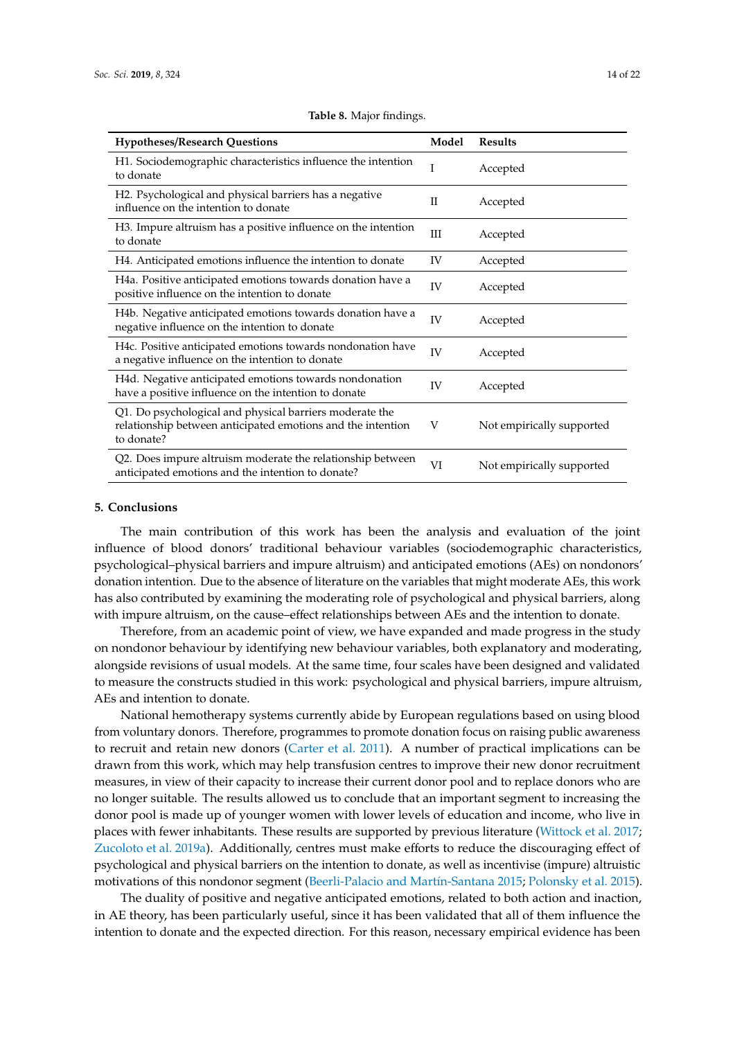<span id="page-13-0"></span>

| <b>Hypotheses/Research Questions</b>                                                                                                 | Model        | <b>Results</b>            |
|--------------------------------------------------------------------------------------------------------------------------------------|--------------|---------------------------|
| H1. Sociodemographic characteristics influence the intention<br>to donate                                                            | I            | Accepted                  |
| H2. Psychological and physical barriers has a negative<br>influence on the intention to donate                                       | $\mathbf{H}$ | Accepted                  |
| H3. Impure altruism has a positive influence on the intention<br>to donate                                                           | Ш            | Accepted                  |
| H4. Anticipated emotions influence the intention to donate                                                                           | IV           | Accepted                  |
| H4a. Positive anticipated emotions towards donation have a<br>positive influence on the intention to donate                          | IV           | Accepted                  |
| H4b. Negative anticipated emotions towards donation have a<br>negative influence on the intention to donate                          | IV           | Accepted                  |
| H4c. Positive anticipated emotions towards nondonation have<br>a negative influence on the intention to donate                       | IV           | Accepted                  |
| H4d. Negative anticipated emotions towards nondonation<br>have a positive influence on the intention to donate                       | IV           | Accepted                  |
| Q1. Do psychological and physical barriers moderate the<br>relationship between anticipated emotions and the intention<br>to donate? | V            | Not empirically supported |
| Q2. Does impure altruism moderate the relationship between<br>anticipated emotions and the intention to donate?                      | VI           | Not empirically supported |

**Table 8.** Major findings.

### **5. Conclusions**

The main contribution of this work has been the analysis and evaluation of the joint influence of blood donors' traditional behaviour variables (sociodemographic characteristics, psychological–physical barriers and impure altruism) and anticipated emotions (AEs) on nondonors' donation intention. Due to the absence of literature on the variables that might moderate AEs, this work has also contributed by examining the moderating role of psychological and physical barriers, along with impure altruism, on the cause–effect relationships between AEs and the intention to donate.

Therefore, from an academic point of view, we have expanded and made progress in the study on nondonor behaviour by identifying new behaviour variables, both explanatory and moderating, alongside revisions of usual models. At the same time, four scales have been designed and validated to measure the constructs studied in this work: psychological and physical barriers, impure altruism, AEs and intention to donate.

National hemotherapy systems currently abide by European regulations based on using blood from voluntary donors. Therefore, programmes to promote donation focus on raising public awareness to recruit and retain new donors [\(Carter et al.](#page-17-1) [2011\)](#page-17-1). A number of practical implications can be drawn from this work, which may help transfusion centres to improve their new donor recruitment measures, in view of their capacity to increase their current donor pool and to replace donors who are no longer suitable. The results allowed us to conclude that an important segment to increasing the donor pool is made up of younger women with lower levels of education and income, who live in places with fewer inhabitants. These results are supported by previous literature [\(Wittock et al.](#page-20-6) [2017;](#page-20-6) [Zucoloto et al.](#page-21-0) [2019a\)](#page-21-0). Additionally, centres must make efforts to reduce the discouraging effect of psychological and physical barriers on the intention to donate, as well as incentivise (impure) altruistic motivations of this nondonor segment [\(Beerli-Palacio and Mart](#page-16-14)ín-Santana [2015;](#page-16-14) [Polonsky et al.](#page-19-18) [2015\)](#page-19-18).

The duality of positive and negative anticipated emotions, related to both action and inaction, in AE theory, has been particularly useful, since it has been validated that all of them influence the intention to donate and the expected direction. For this reason, necessary empirical evidence has been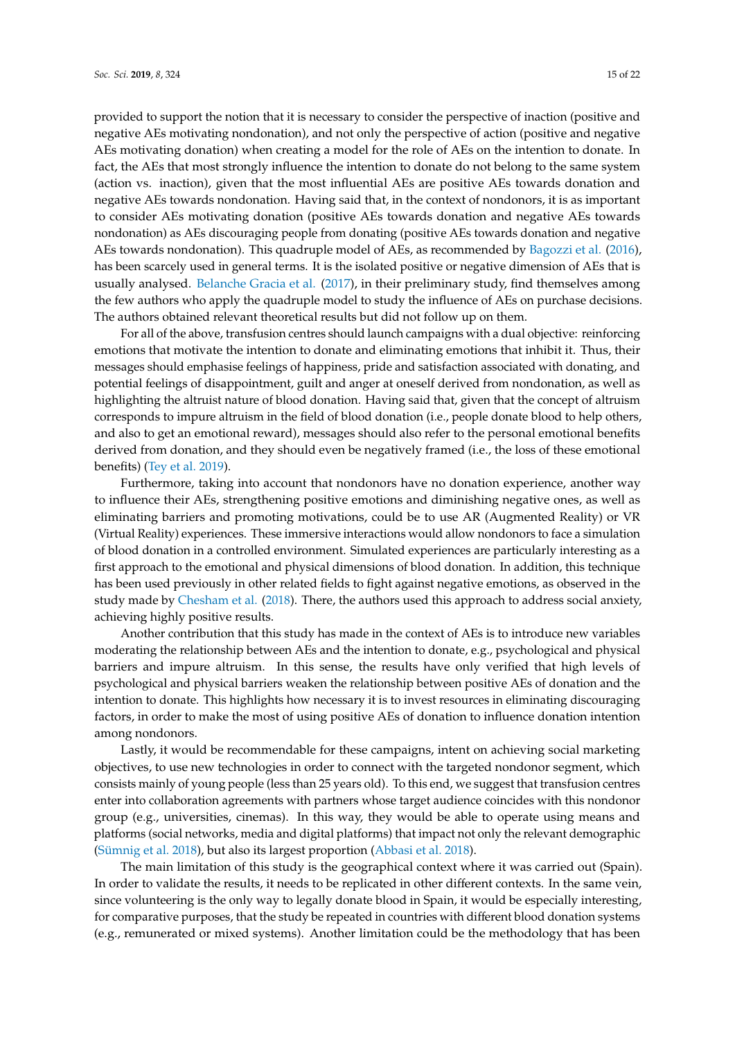provided to support the notion that it is necessary to consider the perspective of inaction (positive and negative AEs motivating nondonation), and not only the perspective of action (positive and negative AEs motivating donation) when creating a model for the role of AEs on the intention to donate. In fact, the AEs that most strongly influence the intention to donate do not belong to the same system (action vs. inaction), given that the most influential AEs are positive AEs towards donation and negative AEs towards nondonation. Having said that, in the context of nondonors, it is as important to consider AEs motivating donation (positive AEs towards donation and negative AEs towards nondonation) as AEs discouraging people from donating (positive AEs towards donation and negative AEs towards nondonation). This quadruple model of AEs, as recommended by [Bagozzi et al.](#page-16-12) [\(2016\)](#page-16-12), has been scarcely used in general terms. It is the isolated positive or negative dimension of AEs that is usually analysed. [Belanche Gracia et al.](#page-17-17) [\(2017\)](#page-17-17), in their preliminary study, find themselves among the few authors who apply the quadruple model to study the influence of AEs on purchase decisions. The authors obtained relevant theoretical results but did not follow up on them.

For all of the above, transfusion centres should launch campaigns with a dual objective: reinforcing emotions that motivate the intention to donate and eliminating emotions that inhibit it. Thus, their messages should emphasise feelings of happiness, pride and satisfaction associated with donating, and potential feelings of disappointment, guilt and anger at oneself derived from nondonation, as well as highlighting the altruist nature of blood donation. Having said that, given that the concept of altruism corresponds to impure altruism in the field of blood donation (i.e., people donate blood to help others, and also to get an emotional reward), messages should also refer to the personal emotional benefits derived from donation, and they should even be negatively framed (i.e., the loss of these emotional benefits) [\(Tey et al.](#page-20-10) [2019\)](#page-20-10).

Furthermore, taking into account that nondonors have no donation experience, another way to influence their AEs, strengthening positive emotions and diminishing negative ones, as well as eliminating barriers and promoting motivations, could be to use AR (Augmented Reality) or VR (Virtual Reality) experiences. These immersive interactions would allow nondonors to face a simulation of blood donation in a controlled environment. Simulated experiences are particularly interesting as a first approach to the emotional and physical dimensions of blood donation. In addition, this technique has been used previously in other related fields to fight against negative emotions, as observed in the study made by [Chesham et al.](#page-17-18) [\(2018\)](#page-17-18). There, the authors used this approach to address social anxiety, achieving highly positive results.

Another contribution that this study has made in the context of AEs is to introduce new variables moderating the relationship between AEs and the intention to donate, e.g., psychological and physical barriers and impure altruism. In this sense, the results have only verified that high levels of psychological and physical barriers weaken the relationship between positive AEs of donation and the intention to donate. This highlights how necessary it is to invest resources in eliminating discouraging factors, in order to make the most of using positive AEs of donation to influence donation intention among nondonors.

Lastly, it would be recommendable for these campaigns, intent on achieving social marketing objectives, to use new technologies in order to connect with the targeted nondonor segment, which consists mainly of young people (less than 25 years old). To this end, we suggest that transfusion centres enter into collaboration agreements with partners whose target audience coincides with this nondonor group (e.g., universities, cinemas). In this way, they would be able to operate using means and platforms (social networks, media and digital platforms) that impact not only the relevant demographic [\(Sümnig et al.](#page-20-20) [2018\)](#page-20-20), but also its largest proportion [\(Abbasi et al.](#page-16-16) [2018\)](#page-16-16).

The main limitation of this study is the geographical context where it was carried out (Spain). In order to validate the results, it needs to be replicated in other different contexts. In the same vein, since volunteering is the only way to legally donate blood in Spain, it would be especially interesting, for comparative purposes, that the study be repeated in countries with different blood donation systems (e.g., remunerated or mixed systems). Another limitation could be the methodology that has been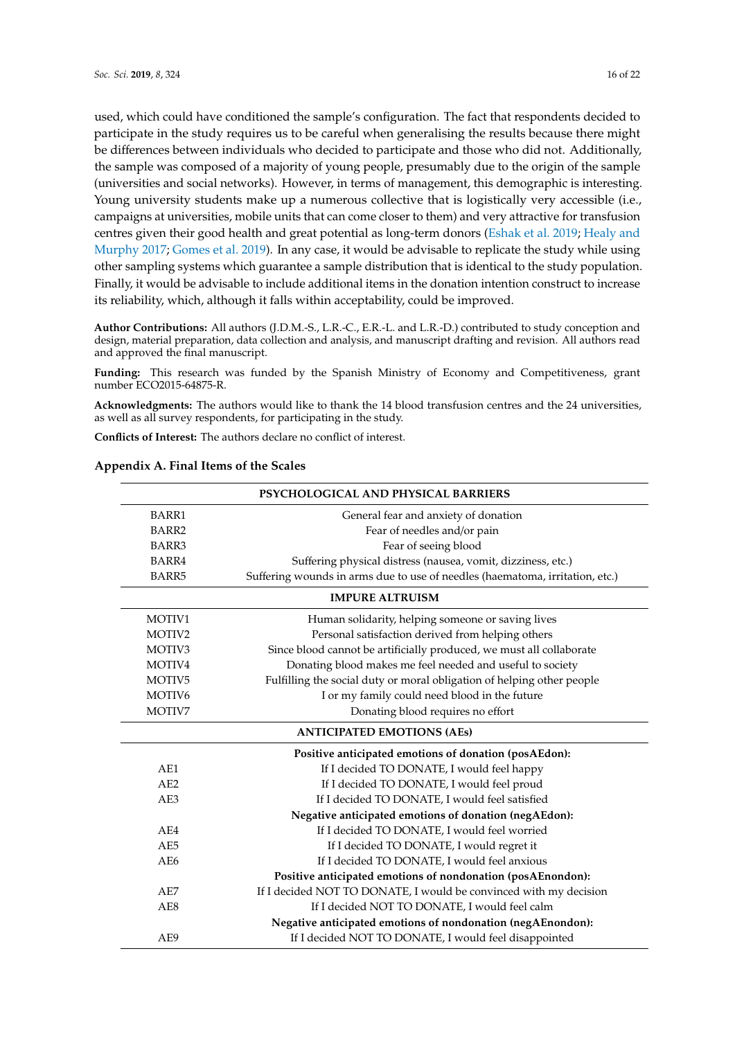used, which could have conditioned the sample's configuration. The fact that respondents decided to participate in the study requires us to be careful when generalising the results because there might be differences between individuals who decided to participate and those who did not. Additionally, the sample was composed of a majority of young people, presumably due to the origin of the sample (universities and social networks). However, in terms of management, this demographic is interesting. Young university students make up a numerous collective that is logistically very accessible (i.e., campaigns at universities, mobile units that can come closer to them) and very attractive for transfusion centres given their good health and great potential as long-term donors [\(Eshak et al.](#page-17-19) [2019;](#page-17-19) [Healy and](#page-18-18) [Murphy](#page-18-18) [2017;](#page-18-18) [Gomes et al.](#page-18-16) [2019\)](#page-18-16). In any case, it would be advisable to replicate the study while using other sampling systems which guarantee a sample distribution that is identical to the study population. Finally, it would be advisable to include additional items in the donation intention construct to increase its reliability, which, although it falls within acceptability, could be improved.

**Author Contributions:** All authors (J.D.M.-S., L.R.-C., E.R.-L. and L.R.-D.) contributed to study conception and design, material preparation, data collection and analysis, and manuscript drafting and revision. All authors read and approved the final manuscript.

**Funding:** This research was funded by the Spanish Ministry of Economy and Competitiveness, grant number ECO2015-64875-R.

**Acknowledgments:** The authors would like to thank the 14 blood transfusion centres and the 24 universities, as well as all survey respondents, for participating in the study.

**Conflicts of Interest:** The authors declare no conflict of interest.

|                                                                       | PSYCHOLOGICAL AND PHYSICAL BARRIERS                                          |  |  |  |  |
|-----------------------------------------------------------------------|------------------------------------------------------------------------------|--|--|--|--|
| BARR1                                                                 | General fear and anxiety of donation                                         |  |  |  |  |
| BARR2                                                                 | Fear of needles and/or pain                                                  |  |  |  |  |
| BARR3                                                                 | Fear of seeing blood                                                         |  |  |  |  |
| BARR4<br>Suffering physical distress (nausea, vomit, dizziness, etc.) |                                                                              |  |  |  |  |
| BARR5                                                                 | Suffering wounds in arms due to use of needles (haematoma, irritation, etc.) |  |  |  |  |
|                                                                       | <b>IMPURE ALTRUISM</b>                                                       |  |  |  |  |
| MOTIV1                                                                | Human solidarity, helping someone or saving lives                            |  |  |  |  |
| MOTIV2                                                                | Personal satisfaction derived from helping others                            |  |  |  |  |
| MOTIV3                                                                | Since blood cannot be artificially produced, we must all collaborate         |  |  |  |  |
| MOTIV4                                                                | Donating blood makes me feel needed and useful to society                    |  |  |  |  |
| MOTIV5                                                                | Fulfilling the social duty or moral obligation of helping other people       |  |  |  |  |
| MOTIV <sub>6</sub>                                                    | I or my family could need blood in the future                                |  |  |  |  |
| MOTIV7                                                                | Donating blood requires no effort                                            |  |  |  |  |
|                                                                       | <b>ANTICIPATED EMOTIONS (AEs)</b>                                            |  |  |  |  |
|                                                                       | Positive anticipated emotions of donation (posAEdon):                        |  |  |  |  |
| AE1                                                                   | If I decided TO DONATE, I would feel happy                                   |  |  |  |  |
| AE2                                                                   | If I decided TO DONATE, I would feel proud                                   |  |  |  |  |
| AE3                                                                   | If I decided TO DONATE, I would feel satisfied                               |  |  |  |  |
|                                                                       | Negative anticipated emotions of donation (negAEdon):                        |  |  |  |  |
| AE4                                                                   | If I decided TO DONATE, I would feel worried                                 |  |  |  |  |
| AE5                                                                   | If I decided TO DONATE, I would regret it                                    |  |  |  |  |
| AE6                                                                   | If I decided TO DONATE, I would feel anxious                                 |  |  |  |  |
|                                                                       | Positive anticipated emotions of nondonation (posAEnondon):                  |  |  |  |  |
| AE7                                                                   | If I decided NOT TO DONATE, I would be convinced with my decision            |  |  |  |  |
| AE8                                                                   | If I decided NOT TO DONATE, I would feel calm                                |  |  |  |  |
|                                                                       | Negative anticipated emotions of nondonation (negAEnondon):                  |  |  |  |  |
| AE9                                                                   | If I decided NOT TO DONATE, I would feel disappointed                        |  |  |  |  |
|                                                                       |                                                                              |  |  |  |  |

### <span id="page-15-0"></span>**Appendix A. Final Items of the Scales**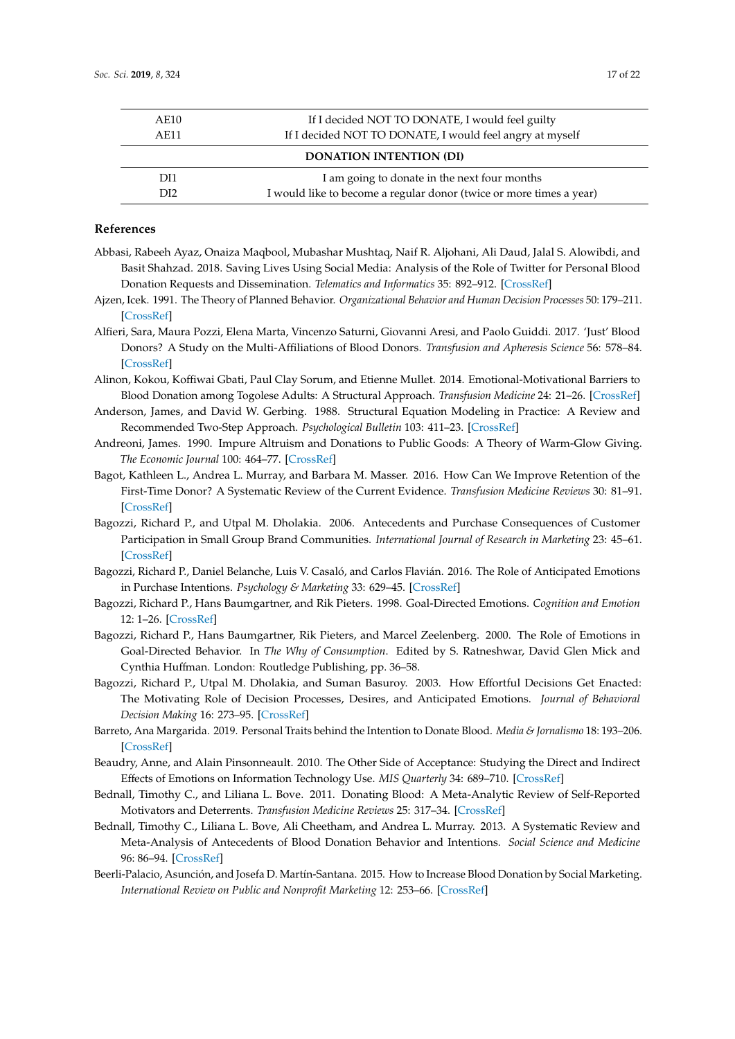| AE10<br>AE11                   | If I decided NOT TO DONATE, I would feel guilty<br>If I decided NOT TO DONATE, I would feel angry at myself |
|--------------------------------|-------------------------------------------------------------------------------------------------------------|
| <b>DONATION INTENTION (DI)</b> |                                                                                                             |
| DI1                            | I am going to donate in the next four months                                                                |
| DI <sub>2</sub>                | I would like to become a regular donor (twice or more times a year)                                         |

#### **References**

- <span id="page-16-16"></span>Abbasi, Rabeeh Ayaz, Onaiza Maqbool, Mubashar Mushtaq, Naif R. Aljohani, Ali Daud, Jalal S. Alowibdi, and Basit Shahzad. 2018. Saving Lives Using Social Media: Analysis of the Role of Twitter for Personal Blood Donation Requests and Dissemination. *Telematics and Informatics* 35: 892–912. [\[CrossRef\]](http://dx.doi.org/10.1016/j.tele.2017.01.010)
- <span id="page-16-0"></span>Ajzen, Icek. 1991. The Theory of Planned Behavior. *Organizational Behavior and Human Decision Processes* 50: 179–211. [\[CrossRef\]](http://dx.doi.org/10.1016/0749-5978(91)90020-T)
- <span id="page-16-6"></span>Alfieri, Sara, Maura Pozzi, Elena Marta, Vincenzo Saturni, Giovanni Aresi, and Paolo Guiddi. 2017. 'Just' Blood Donors? A Study on the Multi-Affiliations of Blood Donors. *Transfusion and Apheresis Science* 56: 578–84. [\[CrossRef\]](http://dx.doi.org/10.1016/j.transci.2017.07.019)
- <span id="page-16-13"></span>Alinon, Kokou, Koffiwai Gbati, Paul Clay Sorum, and Etienne Mullet. 2014. Emotional-Motivational Barriers to Blood Donation among Togolese Adults: A Structural Approach. *Transfusion Medicine* 24: 21–26. [\[CrossRef\]](http://dx.doi.org/10.1111/tme.12082)
- <span id="page-16-15"></span>Anderson, James, and David W. Gerbing. 1988. Structural Equation Modeling in Practice: A Review and Recommended Two-Step Approach. *Psychological Bulletin* 103: 411–23. [\[CrossRef\]](http://dx.doi.org/10.1037/0033-2909.103.3.411)
- <span id="page-16-4"></span>Andreoni, James. 1990. Impure Altruism and Donations to Public Goods: A Theory of Warm-Glow Giving. *The Economic Journal* 100: 464–77. [\[CrossRef\]](http://dx.doi.org/10.2307/2234133)
- <span id="page-16-3"></span>Bagot, Kathleen L., Andrea L. Murray, and Barbara M. Masser. 2016. How Can We Improve Retention of the First-Time Donor? A Systematic Review of the Current Evidence. *Transfusion Medicine Reviews* 30: 81–91. [\[CrossRef\]](http://dx.doi.org/10.1016/j.tmrv.2016.02.002)
- <span id="page-16-10"></span>Bagozzi, Richard P., and Utpal M. Dholakia. 2006. Antecedents and Purchase Consequences of Customer Participation in Small Group Brand Communities. *International Journal of Research in Marketing* 23: 45–61. [\[CrossRef\]](http://dx.doi.org/10.1016/j.ijresmar.2006.01.005)
- <span id="page-16-12"></span>Bagozzi, Richard P., Daniel Belanche, Luis V. Casaló, and Carlos Flavián. 2016. The Role of Anticipated Emotions in Purchase Intentions. *Psychology & Marketing* 33: 629–45. [\[CrossRef\]](http://dx.doi.org/10.1002/mar)
- <span id="page-16-9"></span>Bagozzi, Richard P., Hans Baumgartner, and Rik Pieters. 1998. Goal-Directed Emotions. *Cognition and Emotion* 12: 1–26. [\[CrossRef\]](http://dx.doi.org/10.1080/026999398379754)
- <span id="page-16-7"></span>Bagozzi, Richard P., Hans Baumgartner, Rik Pieters, and Marcel Zeelenberg. 2000. The Role of Emotions in Goal-Directed Behavior. In *The Why of Consumption*. Edited by S. Ratneshwar, David Glen Mick and Cynthia Huffman. London: Routledge Publishing, pp. 36–58.
- <span id="page-16-8"></span>Bagozzi, Richard P., Utpal M. Dholakia, and Suman Basuroy. 2003. How Effortful Decisions Get Enacted: The Motivating Role of Decision Processes, Desires, and Anticipated Emotions. *Journal of Behavioral Decision Making* 16: 273–95. [\[CrossRef\]](http://dx.doi.org/10.1002/bdm.446)
- <span id="page-16-5"></span>Barreto, Ana Margarida. 2019. Personal Traits behind the Intention to Donate Blood. *Media & Jornalismo* 18: 193–206. [\[CrossRef\]](http://dx.doi.org/10.14195/2183-5462)
- <span id="page-16-11"></span>Beaudry, Anne, and Alain Pinsonneault. 2010. The Other Side of Acceptance: Studying the Direct and Indirect Effects of Emotions on Information Technology Use. *MIS Quarterly* 34: 689–710. [\[CrossRef\]](http://dx.doi.org/10.2307/25750701)
- <span id="page-16-2"></span>Bednall, Timothy C., and Liliana L. Bove. 2011. Donating Blood: A Meta-Analytic Review of Self-Reported Motivators and Deterrents. *Transfusion Medicine Reviews* 25: 317–34. [\[CrossRef\]](http://dx.doi.org/10.1016/j.tmrv.2011.04.005)
- <span id="page-16-1"></span>Bednall, Timothy C., Liliana L. Bove, Ali Cheetham, and Andrea L. Murray. 2013. A Systematic Review and Meta-Analysis of Antecedents of Blood Donation Behavior and Intentions. *Social Science and Medicine* 96: 86–94. [\[CrossRef\]](http://dx.doi.org/10.1016/j.socscimed.2013.07.022)
- <span id="page-16-14"></span>Beerli-Palacio, Asunción, and Josefa D. Martín-Santana. 2015. How to Increase Blood Donation by Social Marketing. *International Review on Public and Nonprofit Marketing* 12: 253–66. [\[CrossRef\]](http://dx.doi.org/10.1007/s12208-015-0133-8)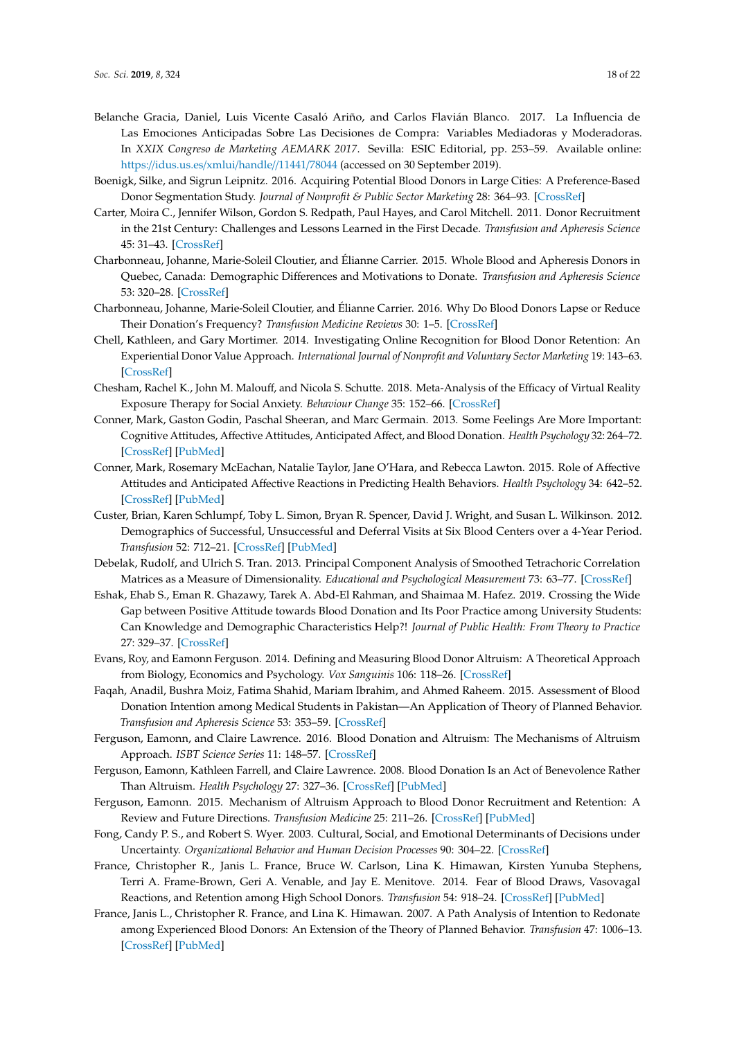- <span id="page-17-17"></span>Belanche Gracia, Daniel, Luis Vicente Casaló Ariño, and Carlos Flavián Blanco. 2017. La Influencia de Las Emociones Anticipadas Sobre Las Decisiones de Compra: Variables Mediadoras y Moderadoras. In *XXIX Congreso de Marketing AEMARK 2017*. Sevilla: ESIC Editorial, pp. 253–59. Available online: https://[idus.us.es](https://idus.us.es/xmlui/handle//11441/78044)/xmlui/handle//11441/78044 (accessed on 30 September 2019).
- <span id="page-17-13"></span>Boenigk, Silke, and Sigrun Leipnitz. 2016. Acquiring Potential Blood Donors in Large Cities: A Preference-Based Donor Segmentation Study. *Journal of Nonprofit & Public Sector Marketing* 28: 364–93. [\[CrossRef\]](http://dx.doi.org/10.1080/10495142.2016.1238330)
- <span id="page-17-1"></span>Carter, Moira C., Jennifer Wilson, Gordon S. Redpath, Paul Hayes, and Carol Mitchell. 2011. Donor Recruitment in the 21st Century: Challenges and Lessons Learned in the First Decade. *Transfusion and Apheresis Science* 45: 31–43. [\[CrossRef\]](http://dx.doi.org/10.1016/j.transci.2011.06.001)
- <span id="page-17-15"></span>Charbonneau, Johanne, Marie-Soleil Cloutier, and Élianne Carrier. 2015. Whole Blood and Apheresis Donors in Quebec, Canada: Demographic Differences and Motivations to Donate. *Transfusion and Apheresis Science* 53: 320–28. [\[CrossRef\]](http://dx.doi.org/10.1016/j.transci.2015.06.001)
- <span id="page-17-14"></span>Charbonneau, Johanne, Marie-Soleil Cloutier, and Élianne Carrier. 2016. Why Do Blood Donors Lapse or Reduce Their Donation's Frequency? *Transfusion Medicine Reviews* 30: 1–5. [\[CrossRef\]](http://dx.doi.org/10.1016/j.tmrv.2015.12.001)
- <span id="page-17-6"></span>Chell, Kathleen, and Gary Mortimer. 2014. Investigating Online Recognition for Blood Donor Retention: An Experiential Donor Value Approach. *International Journal of Nonprofit and Voluntary Sector Marketing* 19: 143–63. [\[CrossRef\]](http://dx.doi.org/10.1002/nvsm.1489)
- <span id="page-17-18"></span>Chesham, Rachel K., John M. Malouff, and Nicola S. Schutte. 2018. Meta-Analysis of the Efficacy of Virtual Reality Exposure Therapy for Social Anxiety. *Behaviour Change* 35: 152–66. [\[CrossRef\]](http://dx.doi.org/10.1017/bec.2018.15)
- <span id="page-17-11"></span>Conner, Mark, Gaston Godin, Paschal Sheeran, and Marc Germain. 2013. Some Feelings Are More Important: Cognitive Attitudes, Affective Attitudes, Anticipated Affect, and Blood Donation. *Health Psychology* 32: 264–72. [\[CrossRef\]](http://dx.doi.org/10.1037/a0028500) [\[PubMed\]](http://www.ncbi.nlm.nih.gov/pubmed/22612559)
- <span id="page-17-10"></span>Conner, Mark, Rosemary McEachan, Natalie Taylor, Jane O'Hara, and Rebecca Lawton. 2015. Role of Affective Attitudes and Anticipated Affective Reactions in Predicting Health Behaviors. *Health Psychology* 34: 642–52. [\[CrossRef\]](http://dx.doi.org/10.1037/hea0000143) [\[PubMed\]](http://www.ncbi.nlm.nih.gov/pubmed/25222083)
- <span id="page-17-0"></span>Custer, Brian, Karen Schlumpf, Toby L. Simon, Bryan R. Spencer, David J. Wright, and Susan L. Wilkinson. 2012. Demographics of Successful, Unsuccessful and Deferral Visits at Six Blood Centers over a 4-Year Period. *Transfusion* 52: 712–21. [\[CrossRef\]](http://dx.doi.org/10.1111/j.1537-2995.2011.03353.x) [\[PubMed\]](http://www.ncbi.nlm.nih.gov/pubmed/21950621)
- <span id="page-17-16"></span>Debelak, Rudolf, and Ulrich S. Tran. 2013. Principal Component Analysis of Smoothed Tetrachoric Correlation Matrices as a Measure of Dimensionality. *Educational and Psychological Measurement* 73: 63–77. [\[CrossRef\]](http://dx.doi.org/10.1177/0013164412457366)
- <span id="page-17-19"></span>Eshak, Ehab S., Eman R. Ghazawy, Tarek A. Abd-El Rahman, and Shaimaa M. Hafez. 2019. Crossing the Wide Gap between Positive Attitude towards Blood Donation and Its Poor Practice among University Students: Can Knowledge and Demographic Characteristics Help?! *Journal of Public Health: From Theory to Practice* 27: 329–37. [\[CrossRef\]](http://dx.doi.org/10.1007/s10389-018-0954-0)
- <span id="page-17-8"></span>Evans, Roy, and Eamonn Ferguson. 2014. Defining and Measuring Blood Donor Altruism: A Theoretical Approach from Biology, Economics and Psychology. *Vox Sanguinis* 106: 118–26. [\[CrossRef\]](http://dx.doi.org/10.1111/vox.12080)
- <span id="page-17-3"></span>Faqah, Anadil, Bushra Moiz, Fatima Shahid, Mariam Ibrahim, and Ahmed Raheem. 2015. Assessment of Blood Donation Intention among Medical Students in Pakistan—An Application of Theory of Planned Behavior. *Transfusion and Apheresis Science* 53: 353–59. [\[CrossRef\]](http://dx.doi.org/10.1016/j.transci.2015.07.003)
- <span id="page-17-7"></span>Ferguson, Eamonn, and Claire Lawrence. 2016. Blood Donation and Altruism: The Mechanisms of Altruism Approach. *ISBT Science Series* 11: 148–57. [\[CrossRef\]](http://dx.doi.org/10.1111/voxs.12209)
- <span id="page-17-9"></span>Ferguson, Eamonn, Kathleen Farrell, and Claire Lawrence. 2008. Blood Donation Is an Act of Benevolence Rather Than Altruism. *Health Psychology* 27: 327–36. [\[CrossRef\]](http://dx.doi.org/10.1037/0278-6133.27.3.327) [\[PubMed\]](http://www.ncbi.nlm.nih.gov/pubmed/18624597)
- <span id="page-17-5"></span>Ferguson, Eamonn. 2015. Mechanism of Altruism Approach to Blood Donor Recruitment and Retention: A Review and Future Directions. *Transfusion Medicine* 25: 211–26. [\[CrossRef\]](http://dx.doi.org/10.1111/tme.12233) [\[PubMed\]](http://www.ncbi.nlm.nih.gov/pubmed/26311129)
- <span id="page-17-12"></span>Fong, Candy P. S., and Robert S. Wyer. 2003. Cultural, Social, and Emotional Determinants of Decisions under Uncertainty. *Organizational Behavior and Human Decision Processes* 90: 304–22. [\[CrossRef\]](http://dx.doi.org/10.1016/S0749-5978(02)00528-9)
- <span id="page-17-4"></span>France, Christopher R., Janis L. France, Bruce W. Carlson, Lina K. Himawan, Kirsten Yunuba Stephens, Terri A. Frame-Brown, Geri A. Venable, and Jay E. Menitove. 2014. Fear of Blood Draws, Vasovagal Reactions, and Retention among High School Donors. *Transfusion* 54: 918–24. [\[CrossRef\]](http://dx.doi.org/10.1111/trf.12368) [\[PubMed\]](http://www.ncbi.nlm.nih.gov/pubmed/23915025)
- <span id="page-17-2"></span>France, Janis L., Christopher R. France, and Lina K. Himawan. 2007. A Path Analysis of Intention to Redonate among Experienced Blood Donors: An Extension of the Theory of Planned Behavior. *Transfusion* 47: 1006–13. [\[CrossRef\]](http://dx.doi.org/10.1111/j.1537-2995.2007.01236.x) [\[PubMed\]](http://www.ncbi.nlm.nih.gov/pubmed/17524090)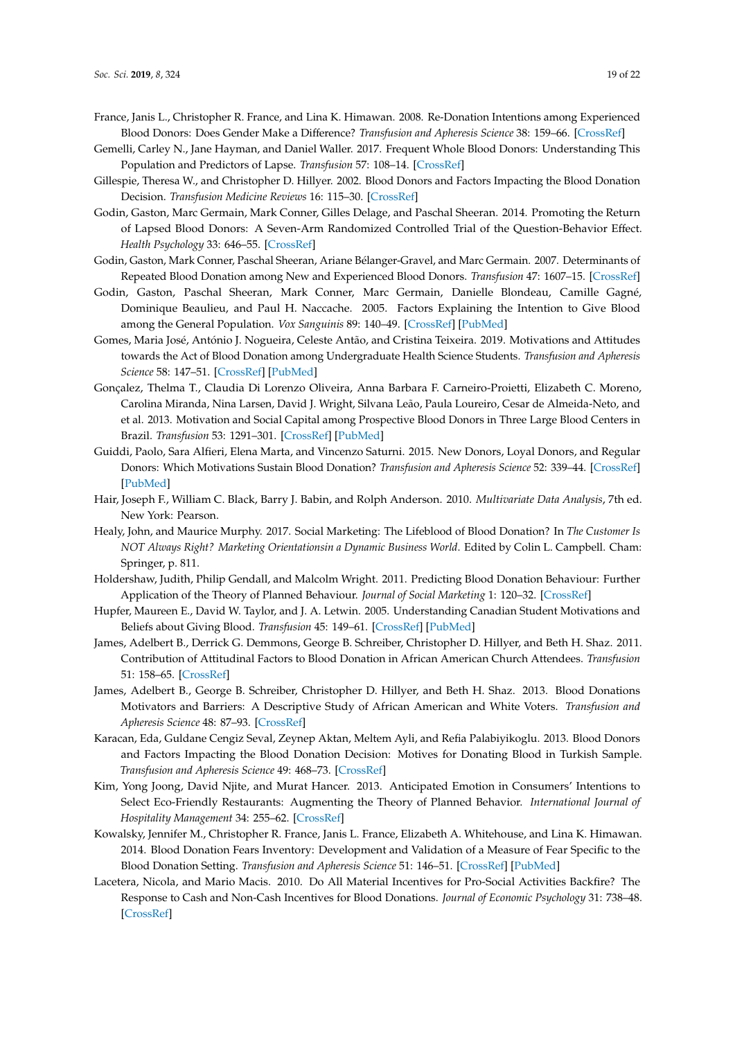- <span id="page-18-2"></span>France, Janis L., Christopher R. France, and Lina K. Himawan. 2008. Re-Donation Intentions among Experienced Blood Donors: Does Gender Make a Difference? *Transfusion and Apheresis Science* 38: 159–66. [\[CrossRef\]](http://dx.doi.org/10.1016/j.transci.2008.01.001)
- <span id="page-18-6"></span>Gemelli, Carley N., Jane Hayman, and Daniel Waller. 2017. Frequent Whole Blood Donors: Understanding This Population and Predictors of Lapse. *Transfusion* 57: 108–14. [\[CrossRef\]](http://dx.doi.org/10.1111/trf.13874)
- <span id="page-18-8"></span>Gillespie, Theresa W., and Christopher D. Hillyer. 2002. Blood Donors and Factors Impacting the Blood Donation Decision. *Transfusion Medicine Reviews* 16: 115–30. [\[CrossRef\]](http://dx.doi.org/10.1053/tmrv.2002.31461)
- <span id="page-18-12"></span>Godin, Gaston, Marc Germain, Mark Conner, Gilles Delage, and Paschal Sheeran. 2014. Promoting the Return of Lapsed Blood Donors: A Seven-Arm Randomized Controlled Trial of the Question-Behavior Effect. *Health Psychology* 33: 646–55. [\[CrossRef\]](http://dx.doi.org/10.1037/a0033505)
- <span id="page-18-1"></span>Godin, Gaston, Mark Conner, Paschal Sheeran, Ariane Bélanger-Gravel, and Marc Germain. 2007. Determinants of Repeated Blood Donation among New and Experienced Blood Donors. *Transfusion* 47: 1607–15. [\[CrossRef\]](http://dx.doi.org/10.1111/j.1537-2995.2007.01331.x)
- <span id="page-18-3"></span>Godin, Gaston, Paschal Sheeran, Mark Conner, Marc Germain, Danielle Blondeau, Camille Gagné, Dominique Beaulieu, and Paul H. Naccache. 2005. Factors Explaining the Intention to Give Blood among the General Population. *Vox Sanguinis* 89: 140–49. [\[CrossRef\]](http://dx.doi.org/10.1111/j.1423-0410.2005.00674.x) [\[PubMed\]](http://www.ncbi.nlm.nih.gov/pubmed/16146506)
- <span id="page-18-16"></span>Gomes, Maria José, António J. Nogueira, Celeste Antão, and Cristina Teixeira. 2019. Motivations and Attitudes towards the Act of Blood Donation among Undergraduate Health Science Students. *Transfusion and Apheresis Science* 58: 147–51. [\[CrossRef\]](http://dx.doi.org/10.1016/j.transci.2018.12.018) [\[PubMed\]](http://www.ncbi.nlm.nih.gov/pubmed/30639083)
- <span id="page-18-13"></span>Gonçalez, Thelma T., Claudia Di Lorenzo Oliveira, Anna Barbara F. Carneiro-Proietti, Elizabeth C. Moreno, Carolina Miranda, Nina Larsen, David J. Wright, Silvana Leão, Paula Loureiro, Cesar de Almeida-Neto, and et al. 2013. Motivation and Social Capital among Prospective Blood Donors in Three Large Blood Centers in Brazil. *Transfusion* 53: 1291–301. [\[CrossRef\]](http://dx.doi.org/10.1111/j.1537-2995.2012.03887.x) [\[PubMed\]](http://www.ncbi.nlm.nih.gov/pubmed/22998740)
- <span id="page-18-10"></span>Guiddi, Paolo, Sara Alfieri, Elena Marta, and Vincenzo Saturni. 2015. New Donors, Loyal Donors, and Regular Donors: Which Motivations Sustain Blood Donation? *Transfusion and Apheresis Science* 52: 339–44. [\[CrossRef\]](http://dx.doi.org/10.1016/j.transci.2015.02.018) [\[PubMed\]](http://www.ncbi.nlm.nih.gov/pubmed/25797792)
- <span id="page-18-17"></span>Hair, Joseph F., William C. Black, Barry J. Babin, and Rolph Anderson. 2010. *Multivariate Data Analysis*, 7th ed. New York: Pearson.
- <span id="page-18-18"></span>Healy, John, and Maurice Murphy. 2017. Social Marketing: The Lifeblood of Blood Donation? In *The Customer Is NOT Always Right? Marketing Orientationsin a Dynamic Business World*. Edited by Colin L. Campbell. Cham: Springer, p. 811.
- <span id="page-18-4"></span>Holdershaw, Judith, Philip Gendall, and Malcolm Wright. 2011. Predicting Blood Donation Behaviour: Further Application of the Theory of Planned Behaviour. *Journal of Social Marketing* 1: 120–32. [\[CrossRef\]](http://dx.doi.org/10.1108/20426761111141878)
- <span id="page-18-7"></span>Hupfer, Maureen E., David W. Taylor, and J. A. Letwin. 2005. Understanding Canadian Student Motivations and Beliefs about Giving Blood. *Transfusion* 45: 149–61. [\[CrossRef\]](http://dx.doi.org/10.1111/j.1537-2995.2004.03374.x) [\[PubMed\]](http://www.ncbi.nlm.nih.gov/pubmed/15660822)
- <span id="page-18-14"></span>James, Adelbert B., Derrick G. Demmons, George B. Schreiber, Christopher D. Hillyer, and Beth H. Shaz. 2011. Contribution of Attitudinal Factors to Blood Donation in African American Church Attendees. *Transfusion* 51: 158–65. [\[CrossRef\]](http://dx.doi.org/10.1111/j.1537-2995.2010.02775.x)
- <span id="page-18-5"></span>James, Adelbert B., George B. Schreiber, Christopher D. Hillyer, and Beth H. Shaz. 2013. Blood Donations Motivators and Barriers: A Descriptive Study of African American and White Voters. *Transfusion and Apheresis Science* 48: 87–93. [\[CrossRef\]](http://dx.doi.org/10.1016/j.transci.2012.07.005)
- <span id="page-18-15"></span>Karacan, Eda, Guldane Cengiz Seval, Zeynep Aktan, Meltem Ayli, and Refia Palabiyikoglu. 2013. Blood Donors and Factors Impacting the Blood Donation Decision: Motives for Donating Blood in Turkish Sample. *Transfusion and Apheresis Science* 49: 468–73. [\[CrossRef\]](http://dx.doi.org/10.1016/j.transci.2013.04.044)
- <span id="page-18-11"></span>Kim, Yong Joong, David Njite, and Murat Hancer. 2013. Anticipated Emotion in Consumers' Intentions to Select Eco-Friendly Restaurants: Augmenting the Theory of Planned Behavior. *International Journal of Hospitality Management* 34: 255–62. [\[CrossRef\]](http://dx.doi.org/10.1016/j.ijhm.2013.04.004)
- <span id="page-18-9"></span>Kowalsky, Jennifer M., Christopher R. France, Janis L. France, Elizabeth A. Whitehouse, and Lina K. Himawan. 2014. Blood Donation Fears Inventory: Development and Validation of a Measure of Fear Specific to the Blood Donation Setting. *Transfusion and Apheresis Science* 51: 146–51. [\[CrossRef\]](http://dx.doi.org/10.1016/j.transci.2014.07.007) [\[PubMed\]](http://www.ncbi.nlm.nih.gov/pubmed/25151096)
- <span id="page-18-0"></span>Lacetera, Nicola, and Mario Macis. 2010. Do All Material Incentives for Pro-Social Activities Backfire? The Response to Cash and Non-Cash Incentives for Blood Donations. *Journal of Economic Psychology* 31: 738–48. [\[CrossRef\]](http://dx.doi.org/10.1016/j.joep.2010.05.007)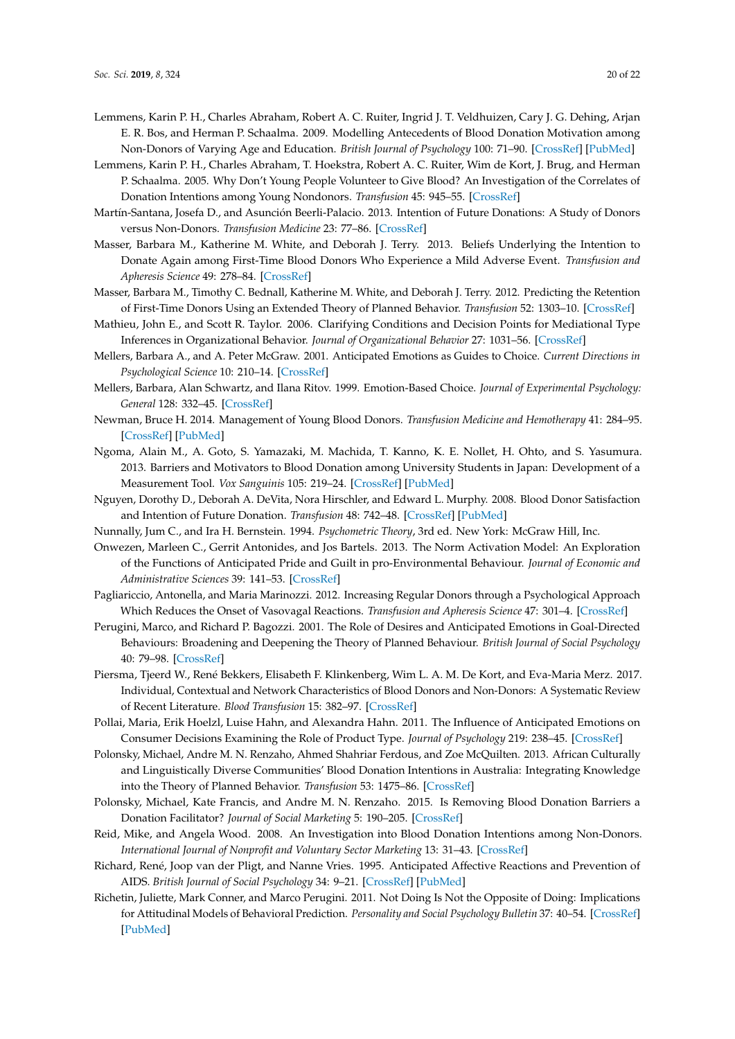- <span id="page-19-3"></span>Lemmens, Karin P. H., Charles Abraham, Robert A. C. Ruiter, Ingrid J. T. Veldhuizen, Cary J. G. Dehing, Arjan E. R. Bos, and Herman P. Schaalma. 2009. Modelling Antecedents of Blood Donation Motivation among Non-Donors of Varying Age and Education. *British Journal of Psychology* 100: 71–90. [\[CrossRef\]](http://dx.doi.org/10.1348/000712608X310237) [\[PubMed\]](http://www.ncbi.nlm.nih.gov/pubmed/18547458)
- <span id="page-19-14"></span>Lemmens, Karin P. H., Charles Abraham, T. Hoekstra, Robert A. C. Ruiter, Wim de Kort, J. Brug, and Herman P. Schaalma. 2005. Why Don't Young People Volunteer to Give Blood? An Investigation of the Correlates of Donation Intentions among Young Nondonors. *Transfusion* 45: 945–55. [\[CrossRef\]](http://dx.doi.org/10.1111/j.1537-2995.2005.04379.x)
- <span id="page-19-2"></span>Martín-Santana, Josefa D., and Asunción Beerli-Palacio. 2013. Intention of Future Donations: A Study of Donors versus Non-Donors. *Transfusion Medicine* 23: 77–86. [\[CrossRef\]](http://dx.doi.org/10.1111/tme.12005)
- <span id="page-19-5"></span>Masser, Barbara M., Katherine M. White, and Deborah J. Terry. 2013. Beliefs Underlying the Intention to Donate Again among First-Time Blood Donors Who Experience a Mild Adverse Event. *Transfusion and Apheresis Science* 49: 278–84. [\[CrossRef\]](http://dx.doi.org/10.1016/j.transci.2013.06.008)
- <span id="page-19-17"></span>Masser, Barbara M., Timothy C. Bednall, Katherine M. White, and Deborah J. Terry. 2012. Predicting the Retention of First-Time Donors Using an Extended Theory of Planned Behavior. *Transfusion* 52: 1303–10. [\[CrossRef\]](http://dx.doi.org/10.1111/j.1537-2995.2011.03479.x)
- <span id="page-19-21"></span>Mathieu, John E., and Scott R. Taylor. 2006. Clarifying Conditions and Decision Points for Mediational Type Inferences in Organizational Behavior. *Journal of Organizational Behavior* 27: 1031–56. [\[CrossRef\]](http://dx.doi.org/10.1002/job.406)
- <span id="page-19-11"></span>Mellers, Barbara A., and A. Peter McGraw. 2001. Anticipated Emotions as Guides to Choice. *Current Directions in Psychological Science* 10: 210–14. [\[CrossRef\]](http://dx.doi.org/10.1111/1467-8721.00151)
- <span id="page-19-10"></span>Mellers, Barbara, Alan Schwartz, and Ilana Ritov. 1999. Emotion-Based Choice. *Journal of Experimental Psychology: General* 128: 332–45. [\[CrossRef\]](http://dx.doi.org/10.1037/0096-3445.128.3.332)
- <span id="page-19-8"></span>Newman, Bruce H. 2014. Management of Young Blood Donors. *Transfusion Medicine and Hemotherapy* 41: 284–95. [\[CrossRef\]](http://dx.doi.org/10.1159/000364849) [\[PubMed\]](http://www.ncbi.nlm.nih.gov/pubmed/25254024)
- <span id="page-19-7"></span>Ngoma, Alain M., A. Goto, S. Yamazaki, M. Machida, T. Kanno, K. E. Nollet, H. Ohto, and S. Yasumura. 2013. Barriers and Motivators to Blood Donation among University Students in Japan: Development of a Measurement Tool. *Vox Sanguinis* 105: 219–24. [\[CrossRef\]](http://dx.doi.org/10.1111/vox.12044) [\[PubMed\]](http://www.ncbi.nlm.nih.gov/pubmed/23662632)
- <span id="page-19-6"></span>Nguyen, Dorothy D., Deborah A. DeVita, Nora Hirschler, and Edward L. Murphy. 2008. Blood Donor Satisfaction and Intention of Future Donation. *Transfusion* 48: 742–48. [\[CrossRef\]](http://dx.doi.org/10.1111/j.1537-2995.2007.01600.x) [\[PubMed\]](http://www.ncbi.nlm.nih.gov/pubmed/18194391)
- <span id="page-19-20"></span>Nunnally, Jum C., and Ira H. Bernstein. 1994. *Psychometric Theory*, 3rd ed. New York: McGraw Hill, Inc.
- <span id="page-19-13"></span>Onwezen, Marleen C., Gerrit Antonides, and Jos Bartels. 2013. The Norm Activation Model: An Exploration of the Functions of Anticipated Pride and Guilt in pro-Environmental Behaviour. *Journal of Economic and Administrative Sciences* 39: 141–53. [\[CrossRef\]](http://dx.doi.org/10.1016/j.joep.2013.07.005)
- <span id="page-19-9"></span>Pagliariccio, Antonella, and Maria Marinozzi. 2012. Increasing Regular Donors through a Psychological Approach Which Reduces the Onset of Vasovagal Reactions. *Transfusion and Apheresis Science* 47: 301–4. [\[CrossRef\]](http://dx.doi.org/10.1016/j.transci.2012.05.018)
- <span id="page-19-19"></span>Perugini, Marco, and Richard P. Bagozzi. 2001. The Role of Desires and Anticipated Emotions in Goal-Directed Behaviours: Broadening and Deepening the Theory of Planned Behaviour. *British Journal of Social Psychology* 40: 79–98. [\[CrossRef\]](http://dx.doi.org/10.1348/014466601164704)
- <span id="page-19-1"></span>Piersma, Tjeerd W., René Bekkers, Elisabeth F. Klinkenberg, Wim L. A. M. De Kort, and Eva-Maria Merz. 2017. Individual, Contextual and Network Characteristics of Blood Donors and Non-Donors: A Systematic Review of Recent Literature. *Blood Transfusion* 15: 382–97. [\[CrossRef\]](http://dx.doi.org/10.2450/2017.0064-17)
- <span id="page-19-16"></span>Pollai, Maria, Erik Hoelzl, Luise Hahn, and Alexandra Hahn. 2011. The Influence of Anticipated Emotions on Consumer Decisions Examining the Role of Product Type. *Journal of Psychology* 219: 238–45. [\[CrossRef\]](http://dx.doi.org/10.1027/2151-2604/a000078)
- <span id="page-19-4"></span>Polonsky, Michael, Andre M. N. Renzaho, Ahmed Shahriar Ferdous, and Zoe McQuilten. 2013. African Culturally and Linguistically Diverse Communities' Blood Donation Intentions in Australia: Integrating Knowledge into the Theory of Planned Behavior. *Transfusion* 53: 1475–86. [\[CrossRef\]](http://dx.doi.org/10.1111/j.1537-2995.2012.03915.x)
- <span id="page-19-18"></span>Polonsky, Michael, Kate Francis, and Andre M. N. Renzaho. 2015. Is Removing Blood Donation Barriers a Donation Facilitator? *Journal of Social Marketing* 5: 190–205. [\[CrossRef\]](http://dx.doi.org/10.1108/JSOCM-08-2014-0054)
- <span id="page-19-0"></span>Reid, Mike, and Angela Wood. 2008. An Investigation into Blood Donation Intentions among Non-Donors. *International Journal of Nonprofit and Voluntary Sector Marketing* 13: 31–43. [\[CrossRef\]](http://dx.doi.org/10.1002/nvsm.296)
- <span id="page-19-12"></span>Richard, René, Joop van der Pligt, and Nanne Vries. 1995. Anticipated Affective Reactions and Prevention of AIDS. *British Journal of Social Psychology* 34: 9–21. [\[CrossRef\]](http://dx.doi.org/10.1111/j.2044-8309.1995.tb01045.x) [\[PubMed\]](http://www.ncbi.nlm.nih.gov/pubmed/7735735)
- <span id="page-19-15"></span>Richetin, Juliette, Mark Conner, and Marco Perugini. 2011. Not Doing Is Not the Opposite of Doing: Implications for Attitudinal Models of Behavioral Prediction. *Personality and Social Psychology Bulletin* 37: 40–54. [\[CrossRef\]](http://dx.doi.org/10.1177/0146167210390522) [\[PubMed\]](http://www.ncbi.nlm.nih.gov/pubmed/21177874)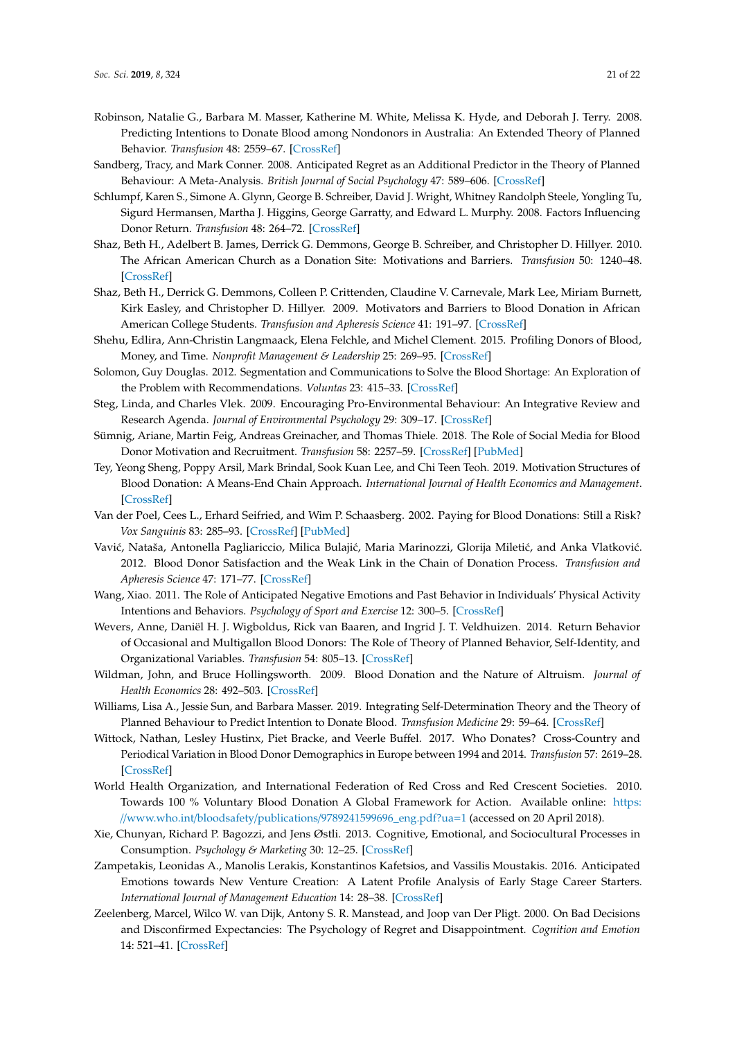- <span id="page-20-4"></span>Robinson, Natalie G., Barbara M. Masser, Katherine M. White, Melissa K. Hyde, and Deborah J. Terry. 2008. Predicting Intentions to Donate Blood among Nondonors in Australia: An Extended Theory of Planned Behavior. *Transfusion* 48: 2559–67. [\[CrossRef\]](http://dx.doi.org/10.1111/j.1537-2995.2008.01904.x)
- <span id="page-20-13"></span>Sandberg, Tracy, and Mark Conner. 2008. Anticipated Regret as an Additional Predictor in the Theory of Planned Behaviour: A Meta-Analysis. *British Journal of Social Psychology* 47: 589–606. [\[CrossRef\]](http://dx.doi.org/10.1348/014466607X258704)
- <span id="page-20-5"></span>Schlumpf, Karen S., Simone A. Glynn, George B. Schreiber, David J. Wright, Whitney Randolph Steele, Yongling Tu, Sigurd Hermansen, Martha J. Higgins, George Garratty, and Edward L. Murphy. 2008. Factors Influencing Donor Return. *Transfusion* 48: 264–72. [\[CrossRef\]](http://dx.doi.org/10.1111/j.1537-2995.2007.01519.x)
- <span id="page-20-7"></span>Shaz, Beth H., Adelbert B. James, Derrick G. Demmons, George B. Schreiber, and Christopher D. Hillyer. 2010. The African American Church as a Donation Site: Motivations and Barriers. *Transfusion* 50: 1240–48. [\[CrossRef\]](http://dx.doi.org/10.1111/j.1537-2995.2009.02570.x)
- <span id="page-20-9"></span>Shaz, Beth H., Derrick G. Demmons, Colleen P. Crittenden, Claudine V. Carnevale, Mark Lee, Miriam Burnett, Kirk Easley, and Christopher D. Hillyer. 2009. Motivators and Barriers to Blood Donation in African American College Students. *Transfusion and Apheresis Science* 41: 191–97. [\[CrossRef\]](http://dx.doi.org/10.1016/j.transci.2009.09.005)
- <span id="page-20-17"></span>Shehu, Edlira, Ann-Christin Langmaack, Elena Felchle, and Michel Clement. 2015. Profiling Donors of Blood, Money, and Time. *Nonprofit Management & Leadership* 25: 269–95. [\[CrossRef\]](http://dx.doi.org/10.1002/nml)
- <span id="page-20-18"></span>Solomon, Guy Douglas. 2012. Segmentation and Communications to Solve the Blood Shortage: An Exploration of the Problem with Recommendations. *Voluntas* 23: 415–33. [\[CrossRef\]](http://dx.doi.org/10.1007/s11266-010-9179-8)
- <span id="page-20-14"></span>Steg, Linda, and Charles Vlek. 2009. Encouraging Pro-Environmental Behaviour: An Integrative Review and Research Agenda. *Journal of Environmental Psychology* 29: 309–17. [\[CrossRef\]](http://dx.doi.org/10.1016/j.jenvp.2008.10.004)
- <span id="page-20-20"></span>Sümnig, Ariane, Martin Feig, Andreas Greinacher, and Thomas Thiele. 2018. The Role of Social Media for Blood Donor Motivation and Recruitment. *Transfusion* 58: 2257–59. [\[CrossRef\]](http://dx.doi.org/10.1111/trf.14823) [\[PubMed\]](http://www.ncbi.nlm.nih.gov/pubmed/30203554)
- <span id="page-20-10"></span>Tey, Yeong Sheng, Poppy Arsil, Mark Brindal, Sook Kuan Lee, and Chi Teen Teoh. 2019. Motivation Structures of Blood Donation: A Means-End Chain Approach. *International Journal of Health Economics and Management*. [\[CrossRef\]](http://dx.doi.org/10.1007/s10754-019-09269-8)
- <span id="page-20-2"></span>Van der Poel, Cees L., Erhard Seifried, and Wim P. Schaasberg. 2002. Paying for Blood Donations: Still a Risk? *Vox Sanguinis* 83: 285–93. [\[CrossRef\]](http://dx.doi.org/10.1046/j.1423-0410.2002.00239.x) [\[PubMed\]](http://www.ncbi.nlm.nih.gov/pubmed/12437514)
- <span id="page-20-1"></span>Vavić, Nataša, Antonella Pagliariccio, Milica Bulajić, Maria Marinozzi, Glorija Miletić, and Anka Vlatković. 2012. Blood Donor Satisfaction and the Weak Link in the Chain of Donation Process. *Transfusion and Apheresis Science* 47: 171–77. [\[CrossRef\]](http://dx.doi.org/10.1016/j.transci.2012.06.025)
- <span id="page-20-15"></span>Wang, Xiao. 2011. The Role of Anticipated Negative Emotions and Past Behavior in Individuals' Physical Activity Intentions and Behaviors. *Psychology of Sport and Exercise* 12: 300–5. [\[CrossRef\]](http://dx.doi.org/10.1016/j.psychsport.2010.09.007)
- <span id="page-20-8"></span>Wevers, Anne, Daniël H. J. Wigboldus, Rick van Baaren, and Ingrid J. T. Veldhuizen. 2014. Return Behavior of Occasional and Multigallon Blood Donors: The Role of Theory of Planned Behavior, Self-Identity, and Organizational Variables. *Transfusion* 54: 805–13. [\[CrossRef\]](http://dx.doi.org/10.1111/trf.12309)
- <span id="page-20-3"></span>Wildman, John, and Bruce Hollingsworth. 2009. Blood Donation and the Nature of Altruism. *Journal of Health Economics* 28: 492–503. [\[CrossRef\]](http://dx.doi.org/10.1016/j.jhealeco.2008.11.005)
- <span id="page-20-11"></span>Williams, Lisa A., Jessie Sun, and Barbara Masser. 2019. Integrating Self-Determination Theory and the Theory of Planned Behaviour to Predict Intention to Donate Blood. *Transfusion Medicine* 29: 59–64. [\[CrossRef\]](http://dx.doi.org/10.1111/tme.12566)
- <span id="page-20-6"></span>Wittock, Nathan, Lesley Hustinx, Piet Bracke, and Veerle Buffel. 2017. Who Donates? Cross-Country and Periodical Variation in Blood Donor Demographics in Europe between 1994 and 2014. *Transfusion* 57: 2619–28. [\[CrossRef\]](http://dx.doi.org/10.1111/trf.14272)
- <span id="page-20-0"></span>World Health Organization, and International Federation of Red Cross and Red Crescent Societies. 2010. Towards 100 % Voluntary Blood Donation A Global Framework for Action. Available online: [https:](https://www.who.int/bloodsafety/publications/9789241599696_eng.pdf?ua=1) //www.who.int/bloodsafety/publications/[9789241599696\\_eng.pdf?ua](https://www.who.int/bloodsafety/publications/9789241599696_eng.pdf?ua=1)=1 (accessed on 20 April 2018).
- <span id="page-20-12"></span>Xie, Chunyan, Richard P. Bagozzi, and Jens Østli. 2013. Cognitive, Emotional, and Sociocultural Processes in Consumption. *Psychology & Marketing* 30: 12–25. [\[CrossRef\]](http://dx.doi.org/10.1002/mar.20585)
- <span id="page-20-19"></span>Zampetakis, Leonidas A., Manolis Lerakis, Konstantinos Kafetsios, and Vassilis Moustakis. 2016. Anticipated Emotions towards New Venture Creation: A Latent Profile Analysis of Early Stage Career Starters. *International Journal of Management Education* 14: 28–38. [\[CrossRef\]](http://dx.doi.org/10.1016/j.ijme.2015.11.004)
- <span id="page-20-16"></span>Zeelenberg, Marcel, Wilco W. van Dijk, Antony S. R. Manstead, and Joop van Der Pligt. 2000. On Bad Decisions and Disconfirmed Expectancies: The Psychology of Regret and Disappointment. *Cognition and Emotion* 14: 521–41. [\[CrossRef\]](http://dx.doi.org/10.1080/026999300402781)